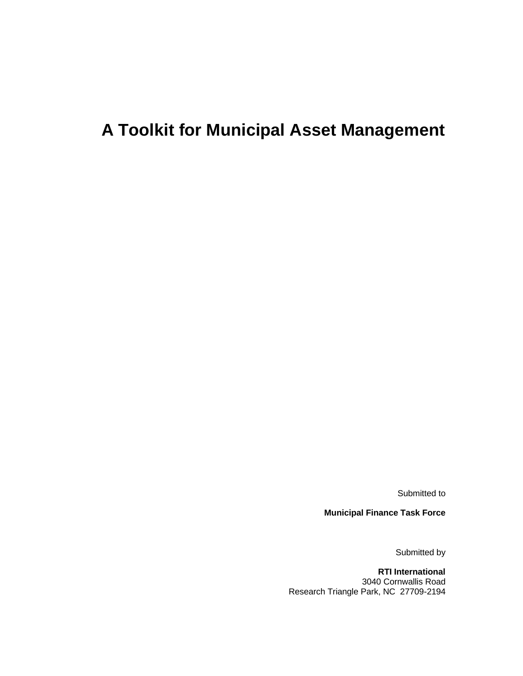# **A Toolkit for Municipal Asset Management**

Submitted to

**Municipal Finance Task Force**

Submitted by

**RTI International** 3040 Cornwallis Road Research Triangle Park, NC 27709-2194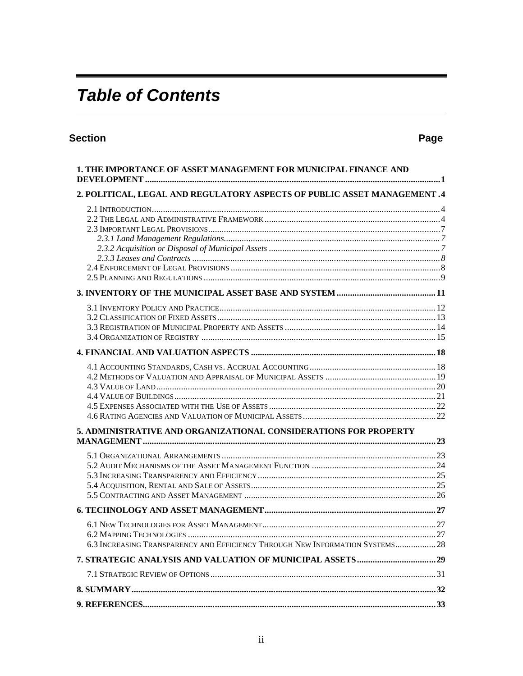# **Table of Contents**

# **Section**

# Page

| 1. THE IMPORTANCE OF ASSET MANAGEMENT FOR MUNICIPAL FINANCE AND               |  |
|-------------------------------------------------------------------------------|--|
| 2. POLITICAL, LEGAL AND REGULATORY ASPECTS OF PUBLIC ASSET MANAGEMENT .4      |  |
|                                                                               |  |
|                                                                               |  |
|                                                                               |  |
|                                                                               |  |
|                                                                               |  |
| 5. ADMINISTRATIVE AND ORGANIZATIONAL CONSIDERATIONS FOR PROPERTY              |  |
|                                                                               |  |
|                                                                               |  |
| 6.3 INCREASING TRANSPARENCY AND EFFICIENCY THROUGH NEW INFORMATION SYSTEMS 28 |  |
|                                                                               |  |
|                                                                               |  |
|                                                                               |  |
|                                                                               |  |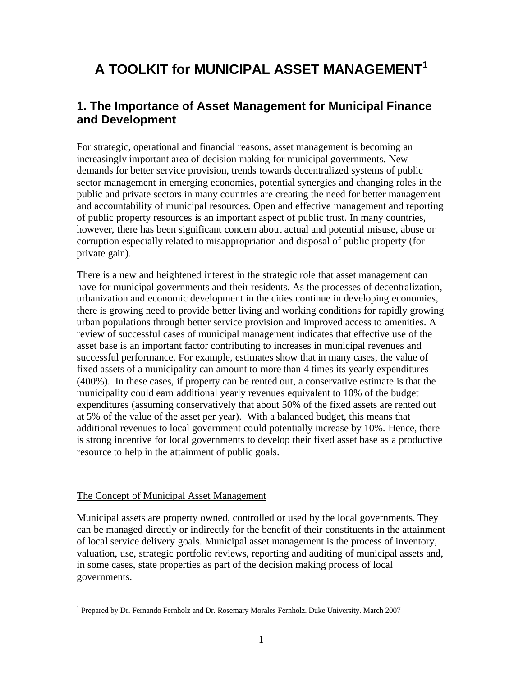# **A TOOLKIT for MUNICIPAL ASSET MANAGEMENT<sup>1</sup>**

# **1. The Importance of Asset Management for Municipal Finance and Development**

For strategic, operational and financial reasons, asset management is becoming an increasingly important area of decision making for municipal governments. New demands for better service provision, trends towards decentralized systems of public sector management in emerging economies, potential synergies and changing roles in the public and private sectors in many countries are creating the need for better management and accountability of municipal resources. Open and effective management and reporting of public property resources is an important aspect of public trust. In many countries, however, there has been significant concern about actual and potential misuse, abuse or corruption especially related to misappropriation and disposal of public property (for private gain).

There is a new and heightened interest in the strategic role that asset management can have for municipal governments and their residents. As the processes of decentralization, urbanization and economic development in the cities continue in developing economies, there is growing need to provide better living and working conditions for rapidly growing urban populations through better service provision and improved access to amenities. A review of successful cases of municipal management indicates that effective use of the asset base is an important factor contributing to increases in municipal revenues and successful performance. For example, estimates show that in many cases, the value of fixed assets of a municipality can amount to more than 4 times its yearly expenditures (400%). In these cases, if property can be rented out, a conservative estimate is that the municipality could earn additional yearly revenues equivalent to 10% of the budget expenditures (assuming conservatively that about 50% of the fixed assets are rented out at 5% of the value of the asset per year). With a balanced budget, this means that additional revenues to local government could potentially increase by 10%. Hence, there is strong incentive for local governments to develop their fixed asset base as a productive resource to help in the attainment of public goals.

#### The Concept of Municipal Asset Management

Municipal assets are property owned, controlled or used by the local governments. They can be managed directly or indirectly for the benefit of their constituents in the attainment of local service delivery goals. Municipal asset management is the process of inventory, valuation, use, strategic portfolio reviews, reporting and auditing of municipal assets and, in some cases, state properties as part of the decision making process of local governments.

 $\overline{a}$ <sup>1</sup> Prepared by Dr. Fernando Fernholz and Dr. Rosemary Morales Fernholz. Duke University. March 2007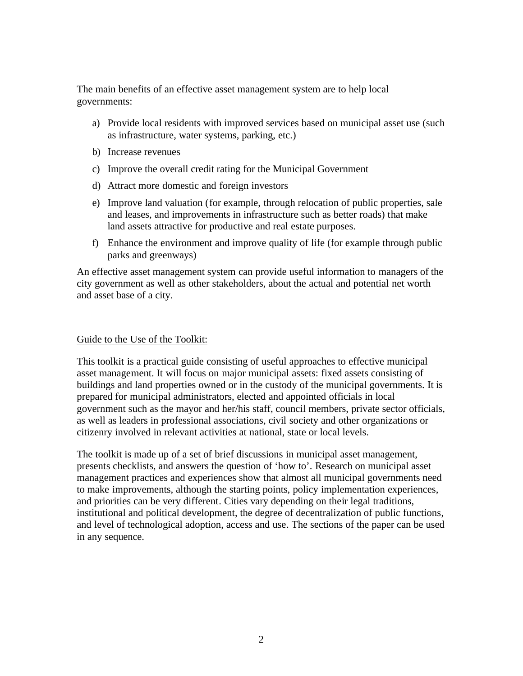The main benefits of an effective asset management system are to help local governments:

- a) Provide local residents with improved services based on municipal asset use (such as infrastructure, water systems, parking, etc.)
- b) Increase revenues
- c) Improve the overall credit rating for the Municipal Government
- d) Attract more domestic and foreign investors
- e) Improve land valuation (for example, through relocation of public properties, sale and leases, and improvements in infrastructure such as better roads) that make land assets attractive for productive and real estate purposes.
- f) Enhance the environment and improve quality of life (for example through public parks and greenways)

An effective asset management system can provide useful information to managers of the city government as well as other stakeholders, about the actual and potential net worth and asset base of a city.

#### Guide to the Use of the Toolkit:

This toolkit is a practical guide consisting of useful approaches to effective municipal asset management. It will focus on major municipal assets: fixed assets consisting of buildings and land properties owned or in the custody of the municipal governments. It is prepared for municipal administrators, elected and appointed officials in local government such as the mayor and her/his staff, council members, private sector officials, as well as leaders in professional associations, civil society and other organizations or citizenry involved in relevant activities at national, state or local levels.

The toolkit is made up of a set of brief discussions in municipal asset management, presents checklists, and answers the question of 'how to'. Research on municipal asset management practices and experiences show that almost all municipal governments need to make improvements, although the starting points, policy implementation experiences, and priorities can be very different. Cities vary depending on their legal traditions, institutional and political development, the degree of decentralization of public functions, and level of technological adoption, access and use. The sections of the paper can be used in any sequence.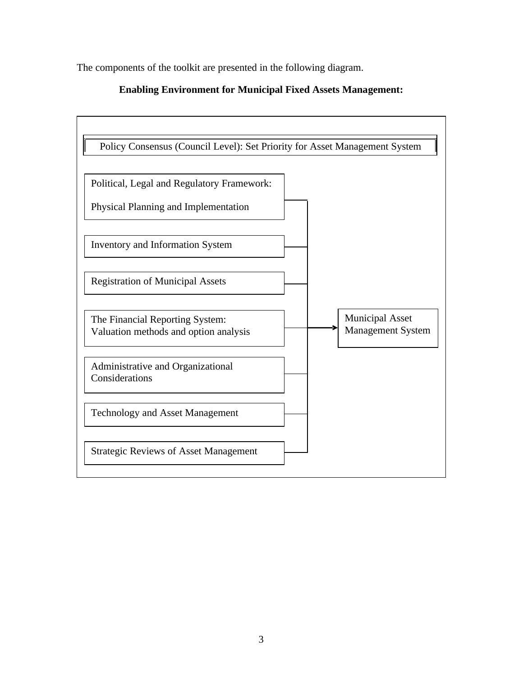The components of the toolkit are presented in the following diagram.



#### **Enabling Environment for Municipal Fixed Assets Management:**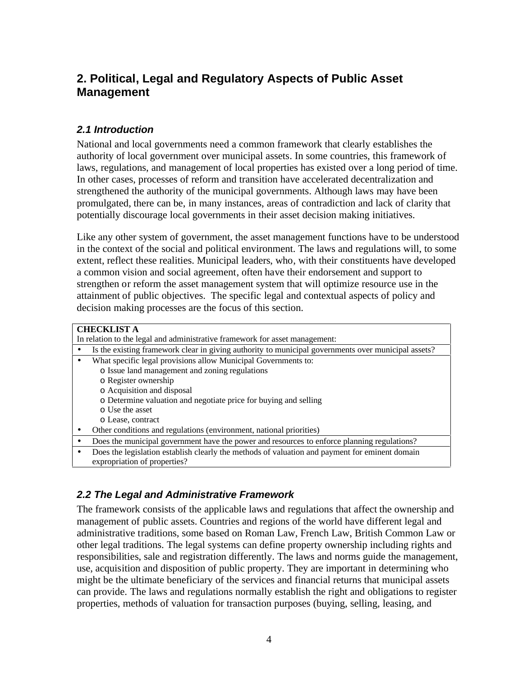# **2. Political, Legal and Regulatory Aspects of Public Asset Management**

#### *2.1 Introduction*

National and local governments need a common framework that clearly establishes the authority of local government over municipal assets. In some countries, this framework of laws, regulations, and management of local properties has existed over a long period of time. In other cases, processes of reform and transition have accelerated decentralization and strengthened the authority of the municipal governments. Although laws may have been promulgated, there can be, in many instances, areas of contradiction and lack of clarity that potentially discourage local governments in their asset decision making initiatives.

Like any other system of government, the asset management functions have to be understood in the context of the social and political environment. The laws and regulations will, to some extent, reflect these realities. Municipal leaders, who, with their constituents have developed a common vision and social agreement, often have their endorsement and support to strengthen or reform the asset management system that will optimize resource use in the attainment of public objectives. The specific legal and contextual aspects of policy and decision making processes are the focus of this section.

|                                                                             | <b>CHECKLIST A</b>                                                                                  |  |
|-----------------------------------------------------------------------------|-----------------------------------------------------------------------------------------------------|--|
| In relation to the legal and administrative framework for asset management: |                                                                                                     |  |
|                                                                             | Is the existing framework clear in giving authority to municipal governments over municipal assets? |  |
|                                                                             | What specific legal provisions allow Municipal Governments to:                                      |  |
|                                                                             | o Issue land management and zoning regulations                                                      |  |
|                                                                             | o Register ownership                                                                                |  |
|                                                                             | o Acquisition and disposal                                                                          |  |
|                                                                             | o Determine valuation and negotiate price for buying and selling                                    |  |
|                                                                             | o Use the asset                                                                                     |  |
|                                                                             | o Lease, contract                                                                                   |  |
|                                                                             | Other conditions and regulations (environment, national priorities)                                 |  |
|                                                                             | Does the municipal government have the power and resources to enforce planning regulations?         |  |
|                                                                             | Does the legislation establish clearly the methods of valuation and payment for eminent domain      |  |
|                                                                             | expropriation of properties?                                                                        |  |

## *2.2 The Legal and Administrative Framework*

The framework consists of the applicable laws and regulations that affect the ownership and management of public assets. Countries and regions of the world have different legal and administrative traditions, some based on Roman Law, French Law, British Common Law or other legal traditions. The legal systems can define property ownership including rights and responsibilities, sale and registration differently. The laws and norms guide the management, use, acquisition and disposition of public property. They are important in determining who might be the ultimate beneficiary of the services and financial returns that municipal assets can provide. The laws and regulations normally establish the right and obligations to register properties, methods of valuation for transaction purposes (buying, selling, leasing, and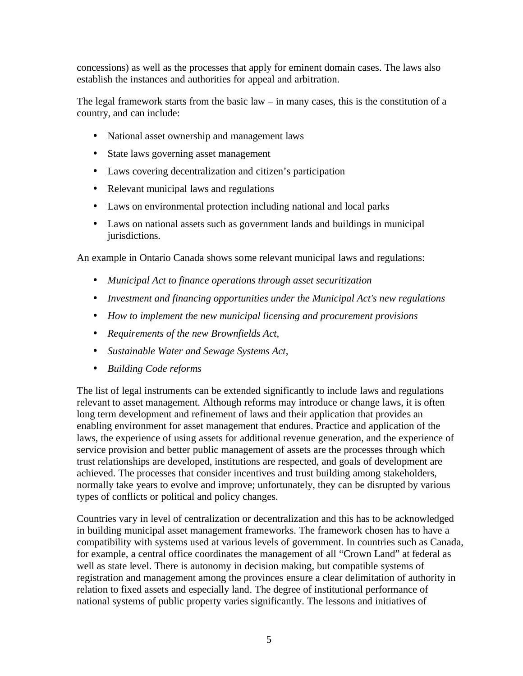concessions) as well as the processes that apply for eminent domain cases. The laws also establish the instances and authorities for appeal and arbitration.

The legal framework starts from the basic law  $-$  in many cases, this is the constitution of a country, and can include:

- National asset ownership and management laws
- State laws governing asset management
- Laws covering decentralization and citizen's participation
- Relevant municipal laws and regulations
- Laws on environmental protection including national and local parks
- Laws on national assets such as government lands and buildings in municipal jurisdictions.

An example in Ontario Canada shows some relevant municipal laws and regulations:

- *Municipal Act to finance operations through asset securitization*
- *Investment and financing opportunities under the Municipal Act's new regulations*
- *How to implement the new municipal licensing and procurement provisions*
- *Requirements of the new Brownfields Act,*
- *Sustainable Water and Sewage Systems Act,*
- *Building Code reforms*

The list of legal instruments can be extended significantly to include laws and regulations relevant to asset management. Although reforms may introduce or change laws, it is often long term development and refinement of laws and their application that provides an enabling environment for asset management that endures. Practice and application of the laws, the experience of using assets for additional revenue generation, and the experience of service provision and better public management of assets are the processes through which trust relationships are developed, institutions are respected, and goals of development are achieved. The processes that consider incentives and trust building among stakeholders, normally take years to evolve and improve; unfortunately, they can be disrupted by various types of conflicts or political and policy changes.

Countries vary in level of centralization or decentralization and this has to be acknowledged in building municipal asset management frameworks. The framework chosen has to have a compatibility with systems used at various levels of government. In countries such as Canada, for example, a central office coordinates the management of all "Crown Land" at federal as well as state level. There is autonomy in decision making, but compatible systems of registration and management among the provinces ensure a clear delimitation of authority in relation to fixed assets and especially land. The degree of institutional performance of national systems of public property varies significantly. The lessons and initiatives of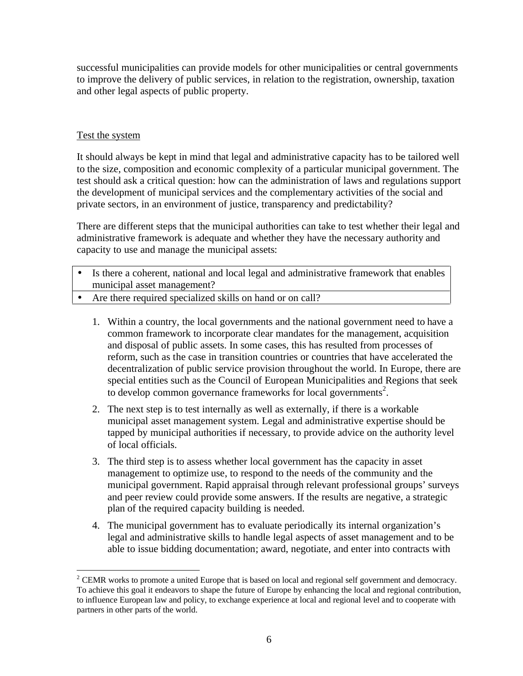successful municipalities can provide models for other municipalities or central governments to improve the delivery of public services, in relation to the registration, ownership, taxation and other legal aspects of public property.

#### Test the system

It should always be kept in mind that legal and administrative capacity has to be tailored well to the size, composition and economic complexity of a particular municipal government. The test should ask a critical question: how can the administration of laws and regulations support the development of municipal services and the complementary activities of the social and private sectors, in an environment of justice, transparency and predictability?

There are different steps that the municipal authorities can take to test whether their legal and administrative framework is adequate and whether they have the necessary authority and capacity to use and manage the municipal assets:

- Is there a coherent, national and local legal and administrative framework that enables municipal asset management?
- Are there required specialized skills on hand or on call?
	- 1. Within a country, the local governments and the national government need to have a common framework to incorporate clear mandates for the management, acquisition and disposal of public assets. In some cases, this has resulted from processes of reform, such as the case in transition countries or countries that have accelerated the decentralization of public service provision throughout the world. In Europe, there are special entities such as the Council of European Municipalities and Regions that seek to develop common governance frameworks for local governments<sup>2</sup>.
	- 2. The next step is to test internally as well as externally, if there is a workable municipal asset management system. Legal and administrative expertise should be tapped by municipal authorities if necessary, to provide advice on the authority level of local officials.
	- 3. The third step is to assess whether local government has the capacity in asset management to optimize use, to respond to the needs of the community and the municipal government. Rapid appraisal through relevant professional groups' surveys and peer review could provide some answers. If the results are negative, a strategic plan of the required capacity building is needed.
	- 4. The municipal government has to evaluate periodically its internal organization's legal and administrative skills to handle legal aspects of asset management and to be able to issue bidding documentation; award, negotiate, and enter into contracts with

 $\overline{a}$  $2^2$  CEMR works to promote a united Europe that is based on local and regional self government and democracy. To achieve this goal it endeavors to shape the future of Europe by enhancing the local and regional contribution, to influence European law and policy, to exchange experience at local and regional level and to cooperate with partners in other parts of the world.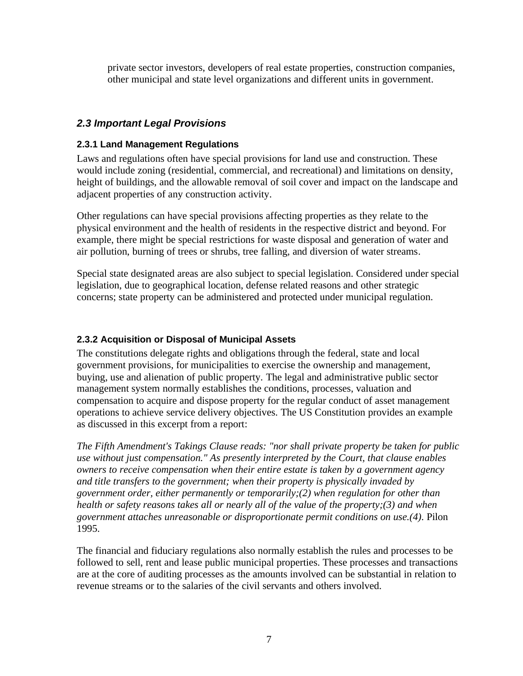private sector investors, developers of real estate properties, construction companies, other municipal and state level organizations and different units in government.

#### *2.3 Important Legal Provisions*

#### **2.3.1 Land Management Regulations**

Laws and regulations often have special provisions for land use and construction. These would include zoning (residential, commercial, and recreational) and limitations on density, height of buildings, and the allowable removal of soil cover and impact on the landscape and adjacent properties of any construction activity.

Other regulations can have special provisions affecting properties as they relate to the physical environment and the health of residents in the respective district and beyond. For example, there might be special restrictions for waste disposal and generation of water and air pollution, burning of trees or shrubs, tree falling, and diversion of water streams.

Special state designated areas are also subject to special legislation. Considered under special legislation, due to geographical location, defense related reasons and other strategic concerns; state property can be administered and protected under municipal regulation.

#### **2.3.2 Acquisition or Disposal of Municipal Assets**

The constitutions delegate rights and obligations through the federal, state and local government provisions, for municipalities to exercise the ownership and management, buying, use and alienation of public property. The legal and administrative public sector management system normally establishes the conditions, processes, valuation and compensation to acquire and dispose property for the regular conduct of asset management operations to achieve service delivery objectives. The US Constitution provides an example as discussed in this excerpt from a report:

*The Fifth Amendment's Takings Clause reads: "nor shall private property be taken for public use without just compensation." As presently interpreted by the Court, that clause enables owners to receive compensation when their entire estate is taken by a government agency and title transfers to the government; when their property is physically invaded by government order, either permanently or temporarily;(2) when regulation for other than health or safety reasons takes all or nearly all of the value of the property;(3) and when government attaches unreasonable or disproportionate permit conditions on use.(4).* Pilon 1995.

The financial and fiduciary regulations also normally establish the rules and processes to be followed to sell, rent and lease public municipal properties. These processes and transactions are at the core of auditing processes as the amounts involved can be substantial in relation to revenue streams or to the salaries of the civil servants and others involved.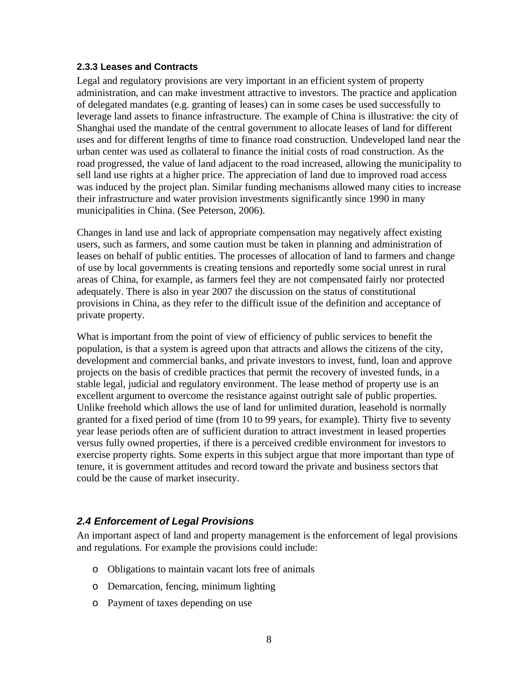#### **2.3.3 Leases and Contracts**

Legal and regulatory provisions are very important in an efficient system of property administration, and can make investment attractive to investors. The practice and application of delegated mandates (e.g. granting of leases) can in some cases be used successfully to leverage land assets to finance infrastructure. The example of China is illustrative: the city of Shanghai used the mandate of the central government to allocate leases of land for different uses and for different lengths of time to finance road construction. Undeveloped land near the urban center was used as collateral to finance the initial costs of road construction. As the road progressed, the value of land adjacent to the road increased, allowing the municipality to sell land use rights at a higher price. The appreciation of land due to improved road access was induced by the project plan. Similar funding mechanisms allowed many cities to increase their infrastructure and water provision investments significantly since 1990 in many municipalities in China. (See Peterson, 2006).

Changes in land use and lack of appropriate compensation may negatively affect existing users, such as farmers, and some caution must be taken in planning and administration of leases on behalf of public entities. The processes of allocation of land to farmers and change of use by local governments is creating tensions and reportedly some social unrest in rural areas of China, for example, as farmers feel they are not compensated fairly nor protected adequately. There is also in year 2007 the discussion on the status of constitutional provisions in China, as they refer to the difficult issue of the definition and acceptance of private property.

What is important from the point of view of efficiency of public services to benefit the population, is that a system is agreed upon that attracts and allows the citizens of the city, development and commercial banks, and private investors to invest, fund, loan and approve projects on the basis of credible practices that permit the recovery of invested funds, in a stable legal, judicial and regulatory environment. The lease method of property use is an excellent argument to overcome the resistance against outright sale of public properties. Unlike freehold which allows the use of land for unlimited duration, leasehold is normally granted for a fixed period of time (from 10 to 99 years, for example). Thirty five to seventy year lease periods often are of sufficient duration to attract investment in leased properties versus fully owned properties, if there is a perceived credible environment for investors to exercise property rights. Some experts in this subject argue that more important than type of tenure, it is government attitudes and record toward the private and business sectors that could be the cause of market insecurity.

#### *2.4 Enforcement of Legal Provisions*

An important aspect of land and property management is the enforcement of legal provisions and regulations. For example the provisions could include:

- o Obligations to maintain vacant lots free of animals
- o Demarcation, fencing, minimum lighting
- o Payment of taxes depending on use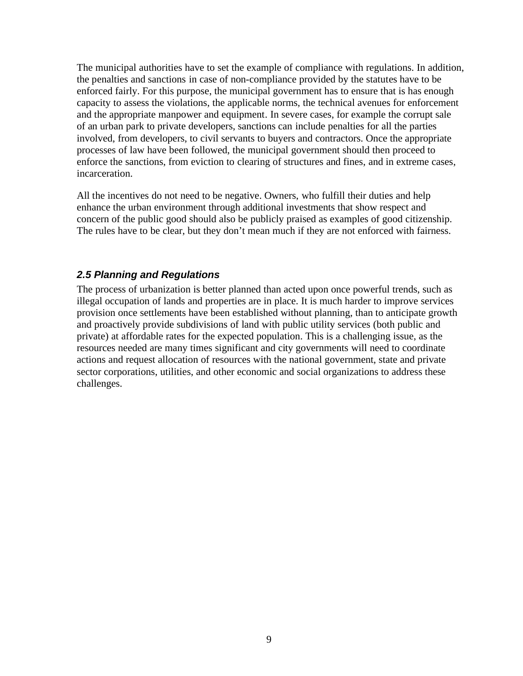The municipal authorities have to set the example of compliance with regulations. In addition, the penalties and sanctions in case of non-compliance provided by the statutes have to be enforced fairly. For this purpose, the municipal government has to ensure that is has enough capacity to assess the violations, the applicable norms, the technical avenues for enforcement and the appropriate manpower and equipment. In severe cases, for example the corrupt sale of an urban park to private developers, sanctions can include penalties for all the parties involved, from developers, to civil servants to buyers and contractors. Once the appropriate processes of law have been followed, the municipal government should then proceed to enforce the sanctions, from eviction to clearing of structures and fines, and in extreme cases, incarceration.

All the incentives do not need to be negative. Owners, who fulfill their duties and help enhance the urban environment through additional investments that show respect and concern of the public good should also be publicly praised as examples of good citizenship. The rules have to be clear, but they don't mean much if they are not enforced with fairness.

#### *2.5 Planning and Regulations*

The process of urbanization is better planned than acted upon once powerful trends, such as illegal occupation of lands and properties are in place. It is much harder to improve services provision once settlements have been established without planning, than to anticipate growth and proactively provide subdivisions of land with public utility services (both public and private) at affordable rates for the expected population. This is a challenging issue, as the resources needed are many times significant and city governments will need to coordinate actions and request allocation of resources with the national government, state and private sector corporations, utilities, and other economic and social organizations to address these challenges.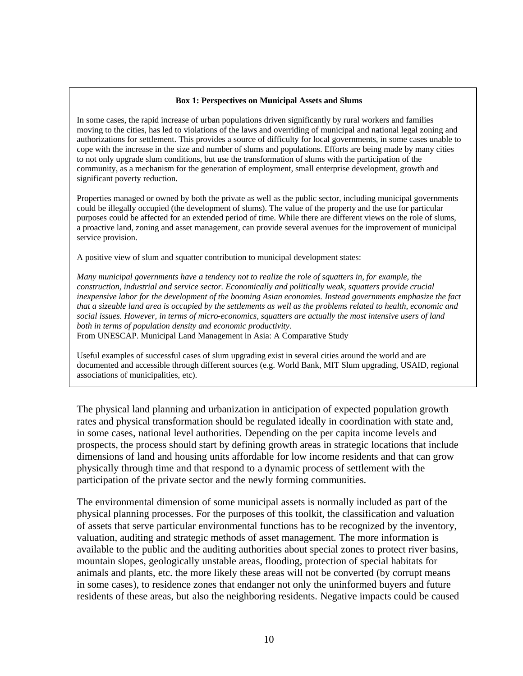#### **Box 1: Perspectives on Municipal Assets and Slums**

In some cases, the rapid increase of urban populations driven significantly by rural workers and families moving to the cities, has led to violations of the laws and overriding of municipal and national legal zoning and authorizations for settlement. This provides a source of difficulty for local governments, in some cases unable to cope with the increase in the size and number of slums and populations. Efforts are being made by many cities to not only upgrade slum conditions, but use the transformation of slums with the participation of the community, as a mechanism for the generation of employment, small enterprise development, growth and significant poverty reduction.

Properties managed or owned by both the private as well as the public sector, including municipal governments could be illegally occupied (the development of slums). The value of the property and the use for particular purposes could be affected for an extended period of time. While there are different views on the role of slums, a proactive land, zoning and asset management, can provide several avenues for the improvement of municipal service provision.

A positive view of slum and squatter contribution to municipal development states:

*Many municipal governments have a tendency not to realize the role of squatters in, for example, the construction, industrial and service sector. Economically and politically weak, squatters provide crucial inexpensive labor for the development of the booming Asian economies. Instead governments emphasize the fact that a sizeable land area is occupied by the settlements as well as the problems related to health, economic and social issues. However, in terms of micro-economics, squatters are actually the most intensive users of land both in terms of population density and economic productivity.*

From UNESCAP. Municipal Land Management in Asia: A Comparative Study

Useful examples of successful cases of slum upgrading exist in several cities around the world and are documented and accessible through different sources (e.g. World Bank, MIT Slum upgrading, USAID, regional associations of municipalities, etc).

The physical land planning and urbanization in anticipation of expected population growth rates and physical transformation should be regulated ideally in coordination with state and, in some cases, national level authorities. Depending on the per capita income levels and prospects, the process should start by defining growth areas in strategic locations that include dimensions of land and housing units affordable for low income residents and that can grow physically through time and that respond to a dynamic process of settlement with the participation of the private sector and the newly forming communities.

The environmental dimension of some municipal assets is normally included as part of the physical planning processes. For the purposes of this toolkit, the classification and valuation of assets that serve particular environmental functions has to be recognized by the inventory, valuation, auditing and strategic methods of asset management. The more information is available to the public and the auditing authorities about special zones to protect river basins, mountain slopes, geologically unstable areas, flooding, protection of special habitats for animals and plants, etc. the more likely these areas will not be converted (by corrupt means in some cases), to residence zones that endanger not only the uninformed buyers and future residents of these areas, but also the neighboring residents. Negative impacts could be caused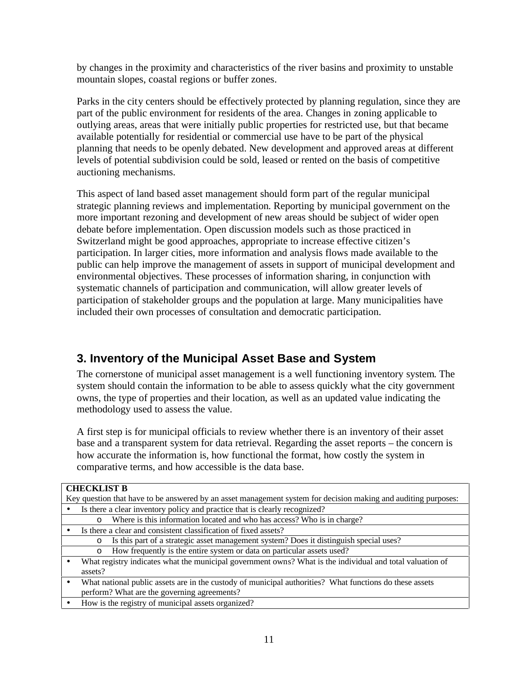by changes in the proximity and characteristics of the river basins and proximity to unstable mountain slopes, coastal regions or buffer zones.

Parks in the city centers should be effectively protected by planning regulation, since they are part of the public environment for residents of the area. Changes in zoning applicable to outlying areas, areas that were initially public properties for restricted use, but that became available potentially for residential or commercial use have to be part of the physical planning that needs to be openly debated. New development and approved areas at different levels of potential subdivision could be sold, leased or rented on the basis of competitive auctioning mechanisms.

This aspect of land based asset management should form part of the regular municipal strategic planning reviews and implementation. Reporting by municipal government on the more important rezoning and development of new areas should be subject of wider open debate before implementation. Open discussion models such as those practiced in Switzerland might be good approaches, appropriate to increase effective citizen's participation. In larger cities, more information and analysis flows made available to the public can help improve the management of assets in support of municipal development and environmental objectives. These processes of information sharing, in conjunction with systematic channels of participation and communication, will allow greater levels of participation of stakeholder groups and the population at large. Many municipalities have included their own processes of consultation and democratic participation.

# **3. Inventory of the Municipal Asset Base and System**

The cornerstone of municipal asset management is a well functioning inventory system. The system should contain the information to be able to assess quickly what the city government owns, the type of properties and their location, as well as an updated value indicating the methodology used to assess the value.

A first step is for municipal officials to review whether there is an inventory of their asset base and a transparent system for data retrieval. Regarding the asset reports – the concern is how accurate the information is, how functional the format, how costly the system in comparative terms, and how accessible is the data base.

| <b>CHECKLIST B</b>                                                                                             |                                                                                                           |  |  |
|----------------------------------------------------------------------------------------------------------------|-----------------------------------------------------------------------------------------------------------|--|--|
| Key question that have to be answered by an asset management system for decision making and auditing purposes: |                                                                                                           |  |  |
|                                                                                                                | Is there a clear inventory policy and practice that is clearly recognized?                                |  |  |
|                                                                                                                | Where is this information located and who has access? Who is in charge?<br>$\circ$                        |  |  |
|                                                                                                                | Is there a clear and consistent classification of fixed assets?                                           |  |  |
|                                                                                                                | Is this part of a strategic asset management system? Does it distinguish special uses?<br>$\circ$         |  |  |
|                                                                                                                | How frequently is the entire system or data on particular assets used?<br>$\circ$                         |  |  |
|                                                                                                                | What registry indicates what the municipal government owns? What is the individual and total valuation of |  |  |
|                                                                                                                | assets?                                                                                                   |  |  |
|                                                                                                                | What national public assets are in the custody of municipal authorities? What functions do these assets   |  |  |
|                                                                                                                | perform? What are the governing agreements?                                                               |  |  |
|                                                                                                                | How is the registry of municipal assets organized?                                                        |  |  |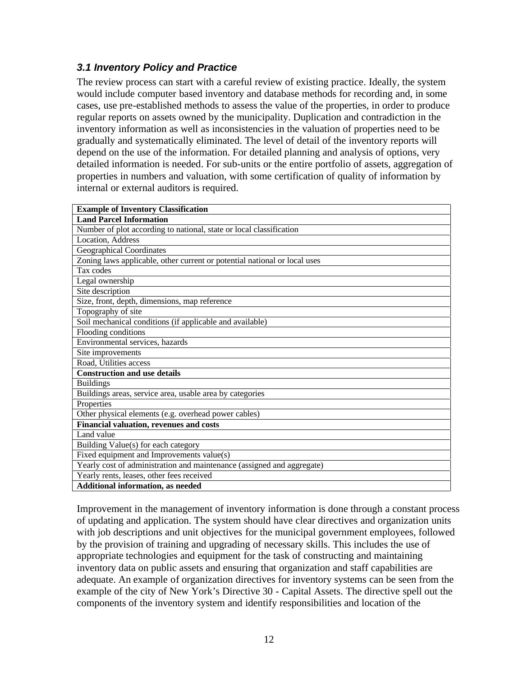## *3.1 Inventory Policy and Practice*

The review process can start with a careful review of existing practice. Ideally, the system would include computer based inventory and database methods for recording and, in some cases, use pre-established methods to assess the value of the properties, in order to produce regular reports on assets owned by the municipality. Duplication and contradiction in the inventory information as well as inconsistencies in the valuation of properties need to be gradually and systematically eliminated. The level of detail of the inventory reports will depend on the use of the information. For detailed planning and analysis of options, very detailed information is needed. For sub-units or the entire portfolio of assets, aggregation of properties in numbers and valuation, with some certification of quality of information by internal or external auditors is required.

| <b>Example of Inventory Classification</b>                                |
|---------------------------------------------------------------------------|
| <b>Land Parcel Information</b>                                            |
| Number of plot according to national, state or local classification       |
| Location, Address                                                         |
| <b>Geographical Coordinates</b>                                           |
| Zoning laws applicable, other current or potential national or local uses |
| Tax codes                                                                 |
| Legal ownership                                                           |
| Site description                                                          |
| Size, front, depth, dimensions, map reference                             |
| Topography of site                                                        |
| Soil mechanical conditions (if applicable and available)                  |
| Flooding conditions                                                       |
| Environmental services, hazards                                           |
| Site improvements                                                         |
| Road, Utilities access                                                    |
| <b>Construction and use details</b>                                       |
| <b>Buildings</b>                                                          |
| Buildings areas, service area, usable area by categories                  |
| Properties                                                                |
| Other physical elements (e.g. overhead power cables)                      |
| Financial valuation, revenues and costs                                   |
| Land value                                                                |
| Building Value(s) for each category                                       |
| Fixed equipment and Improvements value(s)                                 |
| Yearly cost of administration and maintenance (assigned and aggregate)    |
| Yearly rents, leases, other fees received                                 |
| Additional information, as needed                                         |

Improvement in the management of inventory information is done through a constant process of updating and application. The system should have clear directives and organization units with job descriptions and unit objectives for the municipal government employees, followed by the provision of training and upgrading of necessary skills. This includes the use of appropriate technologies and equipment for the task of constructing and maintaining inventory data on public assets and ensuring that organization and staff capabilities are adequate. An example of organization directives for inventory systems can be seen from the example of the city of New York's Directive 30 - Capital Assets. The directive spell out the components of the inventory system and identify responsibilities and location of the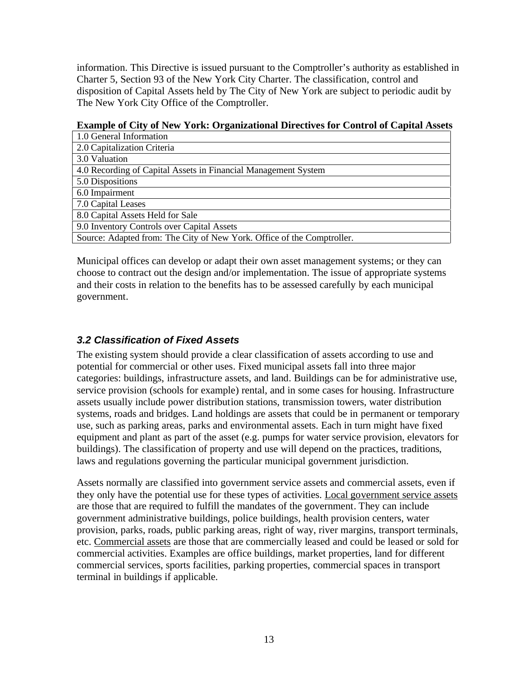information. This Directive is issued pursuant to the Comptroller's authority as established in Charter 5, Section 93 of the New York City Charter. The classification, control and disposition of Capital Assets held by The City of New York are subject to periodic audit by The New York City Office of the Comptroller.

#### **Example of City of New York: Organizational Directives for Control of Capital Assets**

| 1.0 General Information                                                |
|------------------------------------------------------------------------|
| 2.0 Capitalization Criteria                                            |
| 3.0 Valuation                                                          |
| 4.0 Recording of Capital Assets in Financial Management System         |
| 5.0 Dispositions                                                       |
| 6.0 Impairment                                                         |
| 7.0 Capital Leases                                                     |
| 8.0 Capital Assets Held for Sale                                       |
| 9.0 Inventory Controls over Capital Assets                             |
| Source: Adapted from: The City of New York. Office of the Comptroller. |

Municipal offices can develop or adapt their own asset management systems; or they can choose to contract out the design and/or implementation. The issue of appropriate systems and their costs in relation to the benefits has to be assessed carefully by each municipal government.

## *3.2 Classification of Fixed Assets*

The existing system should provide a clear classification of assets according to use and potential for commercial or other uses. Fixed municipal assets fall into three major categories: buildings, infrastructure assets, and land. Buildings can be for administrative use, service provision (schools for example) rental, and in some cases for housing. Infrastructure assets usually include power distribution stations, transmission towers, water distribution systems, roads and bridges. Land holdings are assets that could be in permanent or temporary use, such as parking areas, parks and environmental assets. Each in turn might have fixed equipment and plant as part of the asset (e.g. pumps for water service provision, elevators for buildings). The classification of property and use will depend on the practices, traditions, laws and regulations governing the particular municipal government jurisdiction.

Assets normally are classified into government service assets and commercial assets, even if they only have the potential use for these types of activities. Local government service assets are those that are required to fulfill the mandates of the government. They can include government administrative buildings, police buildings, health provision centers, water provision, parks, roads, public parking areas, right of way, river margins, transport terminals, etc. Commercial assets are those that are commercially leased and could be leased or sold for commercial activities. Examples are office buildings, market properties, land for different commercial services, sports facilities, parking properties, commercial spaces in transport terminal in buildings if applicable.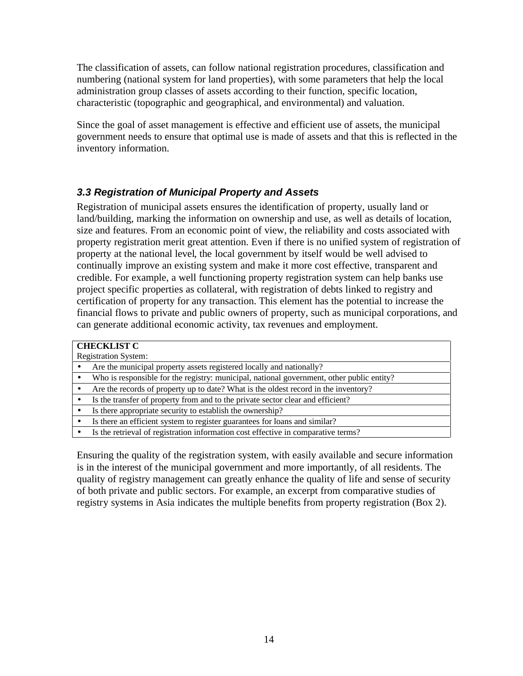The classification of assets, can follow national registration procedures, classification and numbering (national system for land properties), with some parameters that help the local administration group classes of assets according to their function, specific location, characteristic (topographic and geographical, and environmental) and valuation.

Since the goal of asset management is effective and efficient use of assets, the municipal government needs to ensure that optimal use is made of assets and that this is reflected in the inventory information.

## *3.3 Registration of Municipal Property and Assets*

Registration of municipal assets ensures the identification of property, usually land or land/building, marking the information on ownership and use, as well as details of location, size and features. From an economic point of view, the reliability and costs associated with property registration merit great attention. Even if there is no unified system of registration of property at the national level, the local government by itself would be well advised to continually improve an existing system and make it more cost effective, transparent and credible. For example, a well functioning property registration system can help banks use project specific properties as collateral, with registration of debts linked to registry and certification of property for any transaction. This element has the potential to increase the financial flows to private and public owners of property, such as municipal corporations, and can generate additional economic activity, tax revenues and employment.

| <b>CHECKLIST C</b>          |                                                                                           |  |  |  |
|-----------------------------|-------------------------------------------------------------------------------------------|--|--|--|
| <b>Registration System:</b> |                                                                                           |  |  |  |
|                             | Are the municipal property assets registered locally and nationally?                      |  |  |  |
|                             | Who is responsible for the registry: municipal, national government, other public entity? |  |  |  |
|                             | Are the records of property up to date? What is the oldest record in the inventory?       |  |  |  |
|                             | Is the transfer of property from and to the private sector clear and efficient?           |  |  |  |
|                             | Is there appropriate security to establish the ownership?                                 |  |  |  |
|                             | Is there an efficient system to register guarantees for loans and similar?                |  |  |  |
|                             | Is the retrieval of registration information cost effective in comparative terms?         |  |  |  |

Ensuring the quality of the registration system, with easily available and secure information is in the interest of the municipal government and more importantly, of all residents. The quality of registry management can greatly enhance the quality of life and sense of security of both private and public sectors. For example, an excerpt from comparative studies of registry systems in Asia indicates the multiple benefits from property registration (Box 2).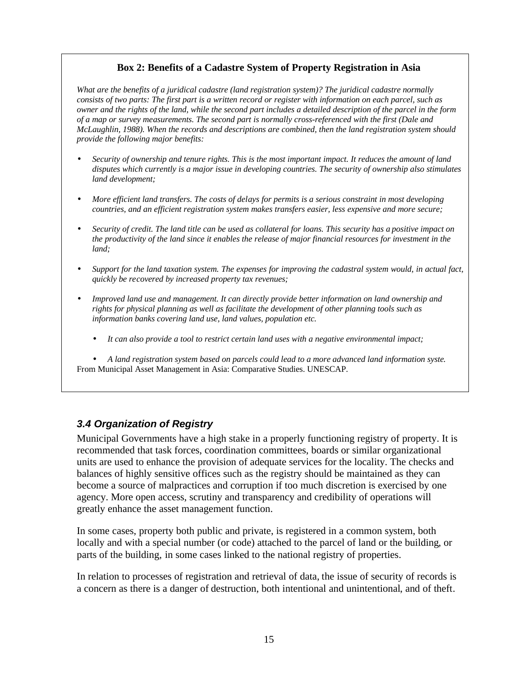#### **Box 2: Benefits of a Cadastre System of Property Registration in Asia**

*What are the benefits of a juridical cadastre (land registration system)? The juridical cadastre normally consists of two parts: The first part is a written record or register with information on each parcel, such as owner and the rights of the land, while the second part includes a detailed description of the parcel in the form of a map or survey measurements. The second part is normally cross-referenced with the first (Dale and McLaughlin, 1988). When the records and descriptions are combined, then the land registration system should provide the following major benefits:* 

- *Security of ownership and tenure rights. This is the most important impact. It reduces the amount of land disputes which currently is a major issue in developing countries. The security of ownership also stimulates land development;*
- *More efficient land transfers. The costs of delays for permits is a serious constraint in most developing countries, and an efficient registration system makes transfers easier, less expensive and more secure;*
- *Security of credit. The land title can be used as collateral for loans. This security has a positive impact on the productivity of the land since it enables the release of major financial resources for investment in the land;*
- *Support for the land taxation system. The expenses for improving the cadastral system would, in actual fact, quickly be recovered by increased property tax revenues;*
- *Improved land use and management. It can directly provide better information on land ownership and rights for physical planning as well as facilitate the development of other planning tools such as information banks covering land use, land values, population etc.* 
	- *It can also provide a tool to restrict certain land uses with a negative environmental impact;*

• *A land registration system based on parcels could lead to a more advanced land information syste.* From Municipal Asset Management in Asia: Comparative Studies. UNESCAP.

#### *3.4 Organization of Registry*

Municipal Governments have a high stake in a properly functioning registry of property. It is recommended that task forces, coordination committees, boards or similar organizational units are used to enhance the provision of adequate services for the locality. The checks and balances of highly sensitive offices such as the registry should be maintained as they can become a source of malpractices and corruption if too much discretion is exercised by one agency. More open access, scrutiny and transparency and credibility of operations will greatly enhance the asset management function.

In some cases, property both public and private, is registered in a common system, both locally and with a special number (or code) attached to the parcel of land or the building, or parts of the building, in some cases linked to the national registry of properties.

In relation to processes of registration and retrieval of data, the issue of security of records is a concern as there is a danger of destruction, both intentional and unintentional, and of theft.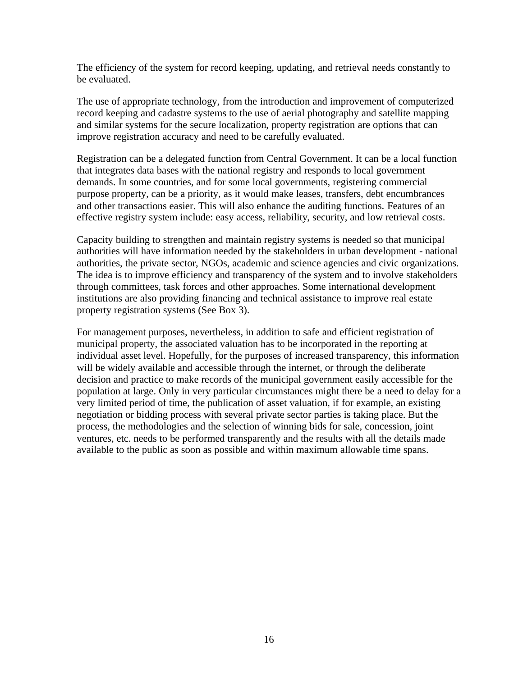The efficiency of the system for record keeping, updating, and retrieval needs constantly to be evaluated.

The use of appropriate technology, from the introduction and improvement of computerized record keeping and cadastre systems to the use of aerial photography and satellite mapping and similar systems for the secure localization, property registration are options that can improve registration accuracy and need to be carefully evaluated.

Registration can be a delegated function from Central Government. It can be a local function that integrates data bases with the national registry and responds to local government demands. In some countries, and for some local governments, registering commercial purpose property, can be a priority, as it would make leases, transfers, debt encumbrances and other transactions easier. This will also enhance the auditing functions. Features of an effective registry system include: easy access, reliability, security, and low retrieval costs.

Capacity building to strengthen and maintain registry systems is needed so that municipal authorities will have information needed by the stakeholders in urban development - national authorities, the private sector, NGOs, academic and science agencies and civic organizations. The idea is to improve efficiency and transparency of the system and to involve stakeholders through committees, task forces and other approaches. Some international development institutions are also providing financing and technical assistance to improve real estate property registration systems (See Box 3).

For management purposes, nevertheless, in addition to safe and efficient registration of municipal property, the associated valuation has to be incorporated in the reporting at individual asset level. Hopefully, for the purposes of increased transparency, this information will be widely available and accessible through the internet, or through the deliberate decision and practice to make records of the municipal government easily accessible for the population at large. Only in very particular circumstances might there be a need to delay for a very limited period of time, the publication of asset valuation, if for example, an existing negotiation or bidding process with several private sector parties is taking place. But the process, the methodologies and the selection of winning bids for sale, concession, joint ventures, etc. needs to be performed transparently and the results with all the details made available to the public as soon as possible and within maximum allowable time spans.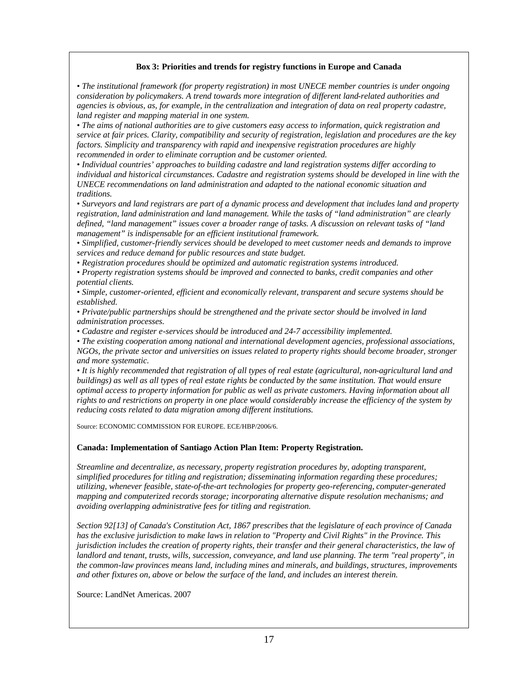#### **Box 3: Priorities and trends for registry functions in Europe and Canada**

*• The institutional framework (for property registration) in most UNECE member countries is under ongoing consideration by policymakers. A trend towards more integration of different land-related authorities and agencies is obvious, as, for example, in the centralization and integration of data on real property cadastre, land register and mapping material in one system.*

*• The aims of national authorities are to give customers easy access to information, quick registration and service at fair prices. Clarity, compatibility and security of registration, legislation and procedures are the key factors. Simplicity and transparency with rapid and inexpensive registration procedures are highly recommended in order to eliminate corruption and be customer oriented.*

*• Individual countries' approaches to building cadastre and land registration systems differ according to individual and historical circumstances. Cadastre and registration systems should be developed in line with the UNECE recommendations on land administration and adapted to the national economic situation and traditions.*

*• Surveyors and land registrars are part of a dynamic process and development that includes land and property registration, land administration and land management. While the tasks of "land administration" are clearly defined, "land management" issues cover a broader range of tasks. A discussion on relevant tasks of "land management" is indispensable for an efficient institutional framework.*

*• Simplified, customer-friendly services should be developed to meet customer needs and demands to improve services and reduce demand for public resources and state budget.*

*• Registration procedures should be optimized and automatic registration systems introduced.*

*• Property registration systems should be improved and connected to banks, credit companies and other potential clients.*

*• Simple, customer-oriented, efficient and economically relevant, transparent and secure systems should be established.*

*• Private/public partnerships should be strengthened and the private sector should be involved in land administration processes.*

*• Cadastre and register e-services should be introduced and 24-7 accessibility implemented.*

*• The existing cooperation among national and international development agencies, professional associations, NGOs, the private sector and universities on issues related to property rights should become broader, stronger and more systematic.*

• It is highly recommended that registration of all types of real estate (agricultural, non-agricultural land and *buildings) as well as all types of real estate rights be conducted by the same institution. That would ensure optimal access to property information for public as well as private customers. Having information about all rights to and restrictions on property in one place would considerably increase the efficiency of the system by reducing costs related to data migration among different institutions.*

Source: ECONOMIC COMMISSION FOR EUROPE. ECE/HBP/2006/6.

#### **Canada: Implementation of Santiago Action Plan Item: Property Registration.**

*Streamline and decentralize, as necessary, property registration procedures by, adopting transparent, simplified procedures for titling and registration; disseminating information regarding these procedures; utilizing, whenever feasible, state-of-the-art technologies for property geo-referencing, computer-generated mapping and computerized records storage; incorporating alternative dispute resolution mechanisms; and avoiding overlapping administrative fees for titling and registration.*

*Section 92[13] of Canada's Constitution Act, 1867 prescribes that the legislature of each province of Canada has the exclusive jurisdiction to make laws in relation to "Property and Civil Rights" in the Province. This jurisdiction includes the creation of property rights, their transfer and their general characteristics, the law of landlord and tenant, trusts, wills, succession, conveyance, and land use planning. The term "real property", in the common-law provinces means land, including mines and minerals, and buildings, structures, improvements and other fixtures on, above or below the surface of the land, and includes an interest therein.*

Source: LandNet Americas. 2007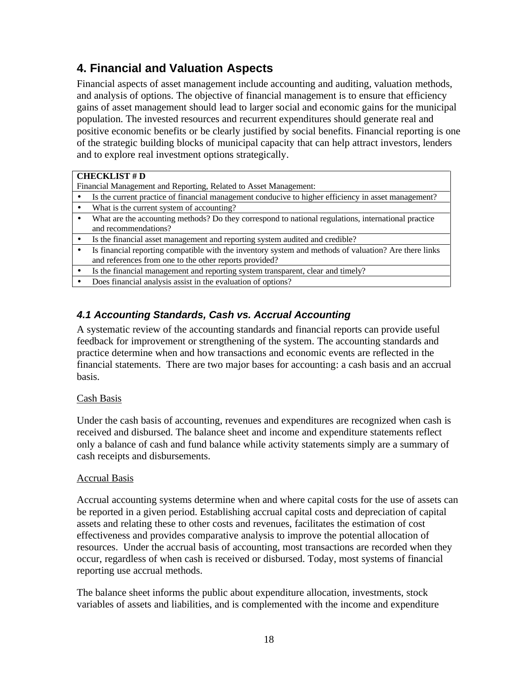# **4. Financial and Valuation Aspects**

Financial aspects of asset management include accounting and auditing, valuation methods, and analysis of options. The objective of financial management is to ensure that efficiency gains of asset management should lead to larger social and economic gains for the municipal population. The invested resources and recurrent expenditures should generate real and positive economic benefits or be clearly justified by social benefits. Financial reporting is one of the strategic building blocks of municipal capacity that can help attract investors, lenders and to explore real investment options strategically.

#### **CHECKLIST # D**

Financial Management and Reporting, Related to Asset Management:

- Is the current practice of financial management conducive to higher efficiency in asset management?
- What is the current system of accounting?
- What are the accounting methods? Do they correspond to national regulations, international practice and recommendations?
- Is the financial asset management and reporting system audited and credible?
- Is financial reporting compatible with the inventory system and methods of valuation? Are there links and references from one to the other reports provided?
- Is the financial management and reporting system transparent, clear and timely?
- Does financial analysis assist in the evaluation of options?

## *4.1 Accounting Standards, Cash vs. Accrual Accounting*

A systematic review of the accounting standards and financial reports can provide useful feedback for improvement or strengthening of the system. The accounting standards and practice determine when and how transactions and economic events are reflected in the financial statements. There are two major bases for accounting: a cash basis and an accrual basis.

#### Cash Basis

Under the cash basis of accounting, revenues and expenditures are recognized when cash is received and disbursed. The balance sheet and income and expenditure statements reflect only a balance of cash and fund balance while activity statements simply are a summary of cash receipts and disbursements.

#### Accrual Basis

Accrual accounting systems determine when and where capital costs for the use of assets can be reported in a given period. Establishing accrual capital costs and depreciation of capital assets and relating these to other costs and revenues, facilitates the estimation of cost effectiveness and provides comparative analysis to improve the potential allocation of resources. Under the accrual basis of accounting, most transactions are recorded when they occur, regardless of when cash is received or disbursed. Today, most systems of financial reporting use accrual methods.

The balance sheet informs the public about expenditure allocation, investments, stock variables of assets and liabilities, and is complemented with the income and expenditure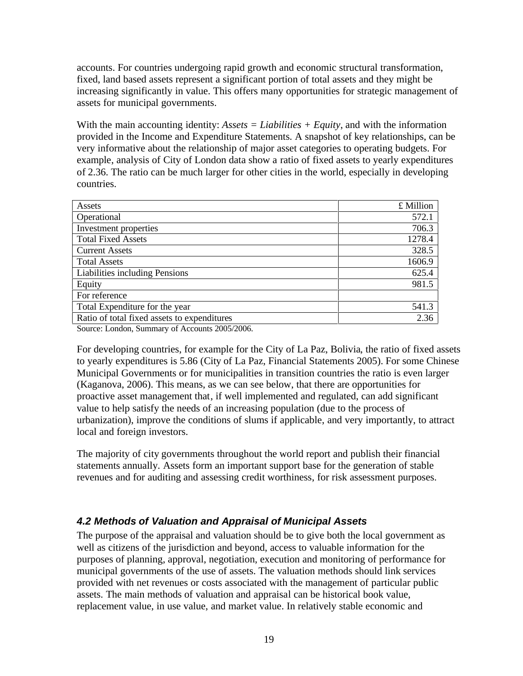accounts. For countries undergoing rapid growth and economic structural transformation, fixed, land based assets represent a significant portion of total assets and they might be increasing significantly in value. This offers many opportunities for strategic management of assets for municipal governments.

With the main accounting identity: *Assets = Liabilities + Equity*, and with the information provided in the Income and Expenditure Statements. A snapshot of key relationships, can be very informative about the relationship of major asset categories to operating budgets. For example, analysis of City of London data show a ratio of fixed assets to yearly expenditures of 2.36. The ratio can be much larger for other cities in the world, especially in developing countries.

| Assets                                      | £ Million |
|---------------------------------------------|-----------|
| Operational                                 | 572.1     |
| Investment properties                       | 706.3     |
| <b>Total Fixed Assets</b>                   | 1278.4    |
| <b>Current Assets</b>                       | 328.5     |
| <b>Total Assets</b>                         | 1606.9    |
| Liabilities including Pensions              | 625.4     |
| Equity                                      | 981.5     |
| For reference                               |           |
| Total Expenditure for the year              | 541.3     |
| Ratio of total fixed assets to expenditures | 2.36      |

Source: London, Summary of Accounts 2005/2006.

For developing countries, for example for the City of La Paz, Bolivia, the ratio of fixed assets to yearly expenditures is 5.86 (City of La Paz, Financial Statements 2005). For some Chinese Municipal Governments or for municipalities in transition countries the ratio is even larger (Kaganova, 2006). This means, as we can see below, that there are opportunities for proactive asset management that, if well implemented and regulated, can add significant value to help satisfy the needs of an increasing population (due to the process of urbanization), improve the conditions of slums if applicable, and very importantly, to attract local and foreign investors.

The majority of city governments throughout the world report and publish their financial statements annually. Assets form an important support base for the generation of stable revenues and for auditing and assessing credit worthiness, for risk assessment purposes.

## *4.2 Methods of Valuation and Appraisal of Municipal Assets*

The purpose of the appraisal and valuation should be to give both the local government as well as citizens of the jurisdiction and beyond, access to valuable information for the purposes of planning, approval, negotiation, execution and monitoring of performance for municipal governments of the use of assets. The valuation methods should link services provided with net revenues or costs associated with the management of particular public assets. The main methods of valuation and appraisal can be historical book value, replacement value, in use value, and market value. In relatively stable economic and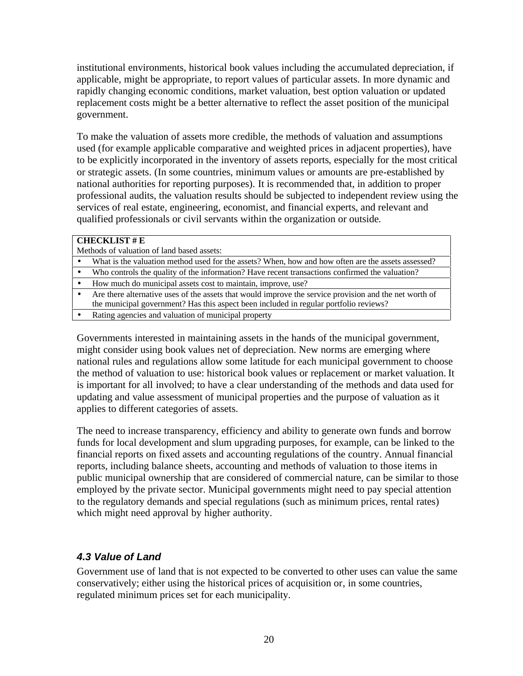institutional environments, historical book values including the accumulated depreciation, if applicable, might be appropriate, to report values of particular assets. In more dynamic and rapidly changing economic conditions, market valuation, best option valuation or updated replacement costs might be a better alternative to reflect the asset position of the municipal government.

To make the valuation of assets more credible, the methods of valuation and assumptions used (for example applicable comparative and weighted prices in adjacent properties), have to be explicitly incorporated in the inventory of assets reports, especially for the most critical or strategic assets. (In some countries, minimum values or amounts are pre-established by national authorities for reporting purposes). It is recommended that, in addition to proper professional audits, the valuation results should be subjected to independent review using the services of real estate, engineering, economist, and financial experts, and relevant and qualified professionals or civil servants within the organization or outside.

#### **CHECKLIST # E**

- Methods of valuation of land based assets:
- What is the valuation method used for the assets? When, how and how often are the assets assessed?
- Who controls the quality of the information? Have recent transactions confirmed the valuation?
- How much do municipal assets cost to maintain, improve, use?
- Are there alternative uses of the assets that would improve the service provision and the net worth of the municipal government? Has this aspect been included in regular portfolio reviews?
- Rating agencies and valuation of municipal property

Governments interested in maintaining assets in the hands of the municipal government, might consider using book values net of depreciation. New norms are emerging where national rules and regulations allow some latitude for each municipal government to choose the method of valuation to use: historical book values or replacement or market valuation. It is important for all involved; to have a clear understanding of the methods and data used for updating and value assessment of municipal properties and the purpose of valuation as it applies to different categories of assets.

The need to increase transparency, efficiency and ability to generate own funds and borrow funds for local development and slum upgrading purposes, for example, can be linked to the financial reports on fixed assets and accounting regulations of the country. Annual financial reports, including balance sheets, accounting and methods of valuation to those items in public municipal ownership that are considered of commercial nature, can be similar to those employed by the private sector. Municipal governments might need to pay special attention to the regulatory demands and special regulations (such as minimum prices, rental rates) which might need approval by higher authority.

#### *4.3 Value of Land*

Government use of land that is not expected to be converted to other uses can value the same conservatively; either using the historical prices of acquisition or, in some countries, regulated minimum prices set for each municipality.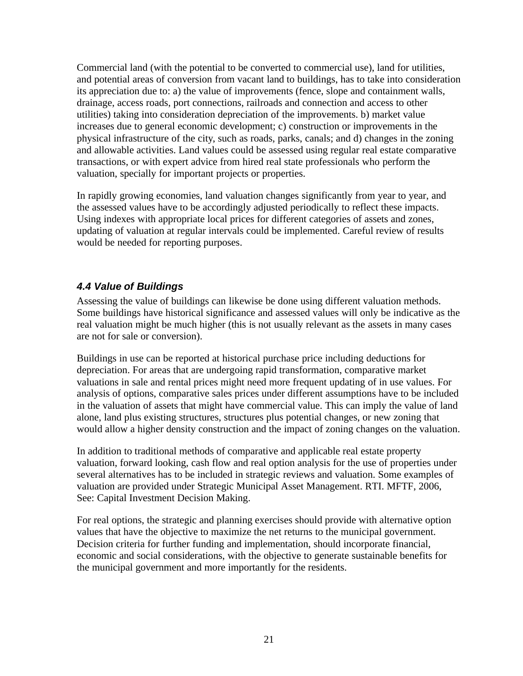Commercial land (with the potential to be converted to commercial use), land for utilities, and potential areas of conversion from vacant land to buildings, has to take into consideration its appreciation due to: a) the value of improvements (fence, slope and containment walls, drainage, access roads, port connections, railroads and connection and access to other utilities) taking into consideration depreciation of the improvements. b) market value increases due to general economic development; c) construction or improvements in the physical infrastructure of the city, such as roads, parks, canals; and d) changes in the zoning and allowable activities. Land values could be assessed using regular real estate comparative transactions, or with expert advice from hired real state professionals who perform the valuation, specially for important projects or properties.

In rapidly growing economies, land valuation changes significantly from year to year, and the assessed values have to be accordingly adjusted periodically to reflect these impacts. Using indexes with appropriate local prices for different categories of assets and zones, updating of valuation at regular intervals could be implemented. Careful review of results would be needed for reporting purposes.

## *4.4 Value of Buildings*

Assessing the value of buildings can likewise be done using different valuation methods. Some buildings have historical significance and assessed values will only be indicative as the real valuation might be much higher (this is not usually relevant as the assets in many cases are not for sale or conversion).

Buildings in use can be reported at historical purchase price including deductions for depreciation. For areas that are undergoing rapid transformation, comparative market valuations in sale and rental prices might need more frequent updating of in use values. For analysis of options, comparative sales prices under different assumptions have to be included in the valuation of assets that might have commercial value. This can imply the value of land alone, land plus existing structures, structures plus potential changes, or new zoning that would allow a higher density construction and the impact of zoning changes on the valuation.

In addition to traditional methods of comparative and applicable real estate property valuation, forward looking, cash flow and real option analysis for the use of properties under several alternatives has to be included in strategic reviews and valuation. Some examples of valuation are provided under Strategic Municipal Asset Management. RTI. MFTF, 2006, See: Capital Investment Decision Making.

For real options, the strategic and planning exercises should provide with alternative option values that have the objective to maximize the net returns to the municipal government. Decision criteria for further funding and implementation, should incorporate financial, economic and social considerations, with the objective to generate sustainable benefits for the municipal government and more importantly for the residents.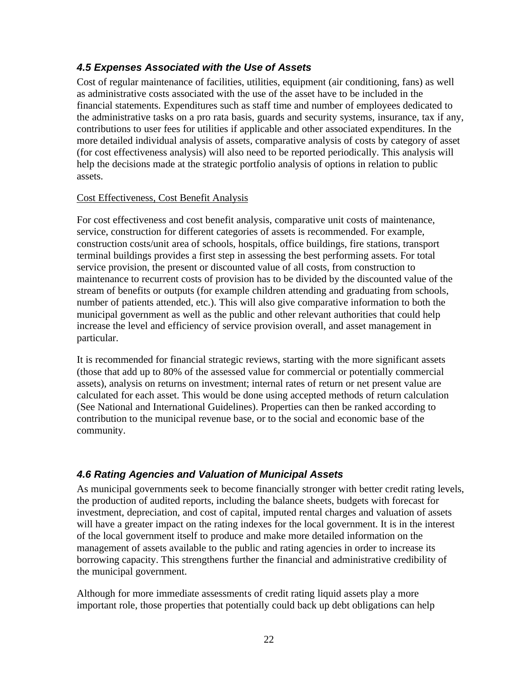## *4.5 Expenses Associated with the Use of Assets*

Cost of regular maintenance of facilities, utilities, equipment (air conditioning, fans) as well as administrative costs associated with the use of the asset have to be included in the financial statements. Expenditures such as staff time and number of employees dedicated to the administrative tasks on a pro rata basis, guards and security systems, insurance, tax if any, contributions to user fees for utilities if applicable and other associated expenditures. In the more detailed individual analysis of assets, comparative analysis of costs by category of asset (for cost effectiveness analysis) will also need to be reported periodically. This analysis will help the decisions made at the strategic portfolio analysis of options in relation to public assets.

#### Cost Effectiveness, Cost Benefit Analysis

For cost effectiveness and cost benefit analysis, comparative unit costs of maintenance, service, construction for different categories of assets is recommended. For example, construction costs/unit area of schools, hospitals, office buildings, fire stations, transport terminal buildings provides a first step in assessing the best performing assets. For total service provision, the present or discounted value of all costs, from construction to maintenance to recurrent costs of provision has to be divided by the discounted value of the stream of benefits or outputs (for example children attending and graduating from schools, number of patients attended, etc.). This will also give comparative information to both the municipal government as well as the public and other relevant authorities that could help increase the level and efficiency of service provision overall, and asset management in particular.

It is recommended for financial strategic reviews, starting with the more significant assets (those that add up to 80% of the assessed value for commercial or potentially commercial assets), analysis on returns on investment; internal rates of return or net present value are calculated for each asset. This would be done using accepted methods of return calculation (See National and International Guidelines). Properties can then be ranked according to contribution to the municipal revenue base, or to the social and economic base of the community.

## *4.6 Rating Agencies and Valuation of Municipal Assets*

As municipal governments seek to become financially stronger with better credit rating levels, the production of audited reports, including the balance sheets, budgets with forecast for investment, depreciation, and cost of capital, imputed rental charges and valuation of assets will have a greater impact on the rating indexes for the local government. It is in the interest of the local government itself to produce and make more detailed information on the management of assets available to the public and rating agencies in order to increase its borrowing capacity. This strengthens further the financial and administrative credibility of the municipal government.

Although for more immediate assessments of credit rating liquid assets play a more important role, those properties that potentially could back up debt obligations can help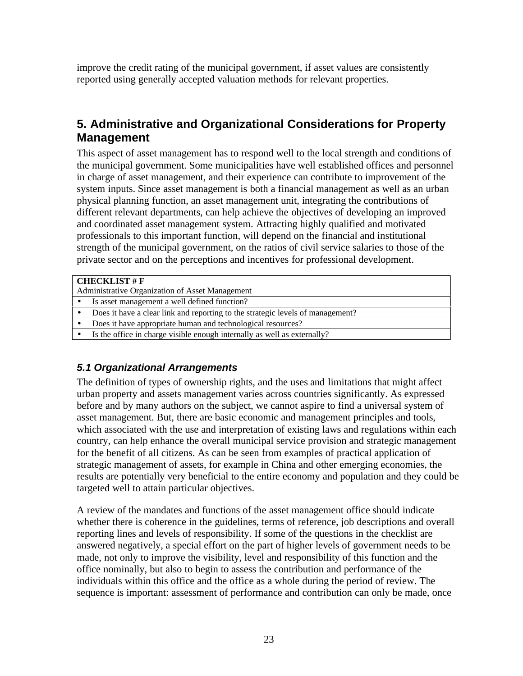improve the credit rating of the municipal government, if asset values are consistently reported using generally accepted valuation methods for relevant properties.

# **5. Administrative and Organizational Considerations for Property Management**

This aspect of asset management has to respond well to the local strength and conditions of the municipal government. Some municipalities have well established offices and personnel in charge of asset management, and their experience can contribute to improvement of the system inputs. Since asset management is both a financial management as well as an urban physical planning function, an asset management unit, integrating the contributions of different relevant departments, can help achieve the objectives of developing an improved and coordinated asset management system. Attracting highly qualified and motivated professionals to this important function, will depend on the financial and institutional strength of the municipal government, on the ratios of civil service salaries to those of the private sector and on the perceptions and incentives for professional development.

| <b>CHECKLIST # F</b>                            |                                                                                |  |
|-------------------------------------------------|--------------------------------------------------------------------------------|--|
| Administrative Organization of Asset Management |                                                                                |  |
|                                                 | Is asset management a well defined function?                                   |  |
|                                                 | Does it have a clear link and reporting to the strategic levels of management? |  |
|                                                 | Does it have appropriate human and technological resources?                    |  |
|                                                 | Is the office in charge visible enough internally as well as externally?       |  |
|                                                 |                                                                                |  |

## *5.1 Organizational Arrangements*

The definition of types of ownership rights, and the uses and limitations that might affect urban property and assets management varies across countries significantly. As expressed before and by many authors on the subject, we cannot aspire to find a universal system of asset management. But, there are basic economic and management principles and tools, which associated with the use and interpretation of existing laws and regulations within each country, can help enhance the overall municipal service provision and strategic management for the benefit of all citizens. As can be seen from examples of practical application of strategic management of assets, for example in China and other emerging economies, the results are potentially very beneficial to the entire economy and population and they could be targeted well to attain particular objectives.

A review of the mandates and functions of the asset management office should indicate whether there is coherence in the guidelines, terms of reference, job descriptions and overall reporting lines and levels of responsibility. If some of the questions in the checklist are answered negatively, a special effort on the part of higher levels of government needs to be made, not only to improve the visibility, level and responsibility of this function and the office nominally, but also to begin to assess the contribution and performance of the individuals within this office and the office as a whole during the period of review. The sequence is important: assessment of performance and contribution can only be made, once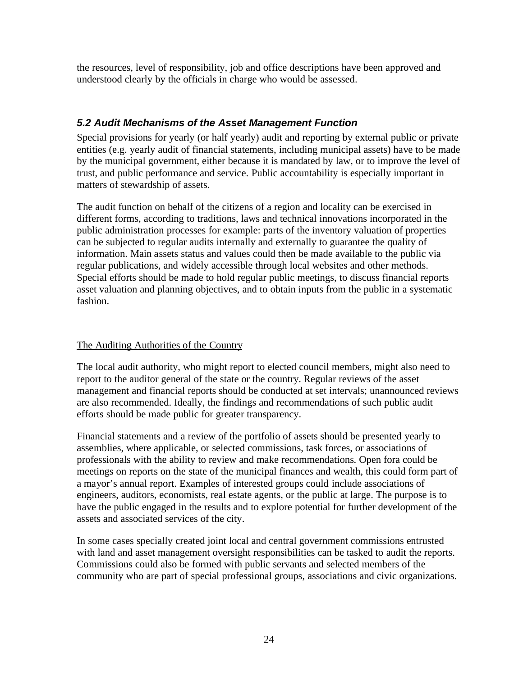the resources, level of responsibility, job and office descriptions have been approved and understood clearly by the officials in charge who would be assessed.

## *5.2 Audit Mechanisms of the Asset Management Function*

Special provisions for yearly (or half yearly) audit and reporting by external public or private entities (e.g. yearly audit of financial statements, including municipal assets) have to be made by the municipal government, either because it is mandated by law, or to improve the level of trust, and public performance and service. Public accountability is especially important in matters of stewardship of assets.

The audit function on behalf of the citizens of a region and locality can be exercised in different forms, according to traditions, laws and technical innovations incorporated in the public administration processes for example: parts of the inventory valuation of properties can be subjected to regular audits internally and externally to guarantee the quality of information. Main assets status and values could then be made available to the public via regular publications, and widely accessible through local websites and other methods. Special efforts should be made to hold regular public meetings, to discuss financial reports asset valuation and planning objectives, and to obtain inputs from the public in a systematic fashion.

#### The Auditing Authorities of the Country

The local audit authority, who might report to elected council members, might also need to report to the auditor general of the state or the country. Regular reviews of the asset management and financial reports should be conducted at set intervals; unannounced reviews are also recommended. Ideally, the findings and recommendations of such public audit efforts should be made public for greater transparency.

Financial statements and a review of the portfolio of assets should be presented yearly to assemblies, where applicable, or selected commissions, task forces, or associations of professionals with the ability to review and make recommendations. Open fora could be meetings on reports on the state of the municipal finances and wealth, this could form part of a mayor's annual report. Examples of interested groups could include associations of engineers, auditors, economists, real estate agents, or the public at large. The purpose is to have the public engaged in the results and to explore potential for further development of the assets and associated services of the city.

In some cases specially created joint local and central government commissions entrusted with land and asset management oversight responsibilities can be tasked to audit the reports. Commissions could also be formed with public servants and selected members of the community who are part of special professional groups, associations and civic organizations.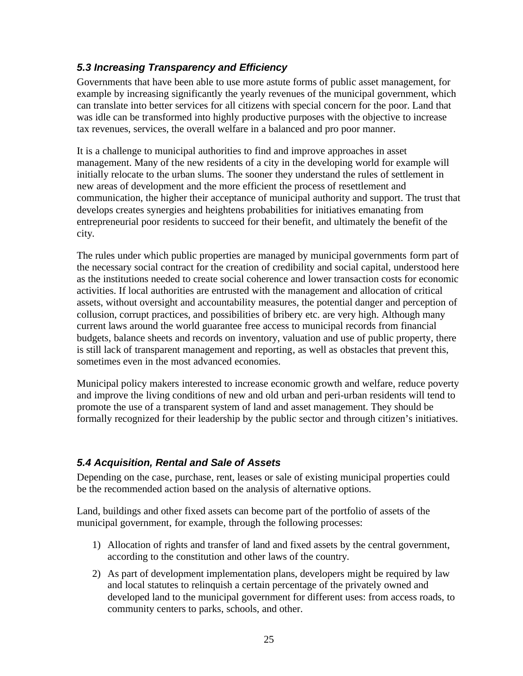## *5.3 Increasing Transparency and Efficiency*

Governments that have been able to use more astute forms of public asset management, for example by increasing significantly the yearly revenues of the municipal government, which can translate into better services for all citizens with special concern for the poor. Land that was idle can be transformed into highly productive purposes with the objective to increase tax revenues, services, the overall welfare in a balanced and pro poor manner.

It is a challenge to municipal authorities to find and improve approaches in asset management. Many of the new residents of a city in the developing world for example will initially relocate to the urban slums. The sooner they understand the rules of settlement in new areas of development and the more efficient the process of resettlement and communication, the higher their acceptance of municipal authority and support. The trust that develops creates synergies and heightens probabilities for initiatives emanating from entrepreneurial poor residents to succeed for their benefit, and ultimately the benefit of the city.

The rules under which public properties are managed by municipal governments form part of the necessary social contract for the creation of credibility and social capital, understood here as the institutions needed to create social coherence and lower transaction costs for economic activities. If local authorities are entrusted with the management and allocation of critical assets, without oversight and accountability measures, the potential danger and perception of collusion, corrupt practices, and possibilities of bribery etc. are very high. Although many current laws around the world guarantee free access to municipal records from financial budgets, balance sheets and records on inventory, valuation and use of public property, there is still lack of transparent management and reporting, as well as obstacles that prevent this, sometimes even in the most advanced economies.

Municipal policy makers interested to increase economic growth and welfare, reduce poverty and improve the living conditions of new and old urban and peri-urban residents will tend to promote the use of a transparent system of land and asset management. They should be formally recognized for their leadership by the public sector and through citizen's initiatives.

## *5.4 Acquisition, Rental and Sale of Assets*

Depending on the case, purchase, rent, leases or sale of existing municipal properties could be the recommended action based on the analysis of alternative options.

Land, buildings and other fixed assets can become part of the portfolio of assets of the municipal government, for example, through the following processes:

- 1) Allocation of rights and transfer of land and fixed assets by the central government, according to the constitution and other laws of the country.
- 2) As part of development implementation plans, developers might be required by law and local statutes to relinquish a certain percentage of the privately owned and developed land to the municipal government for different uses: from access roads, to community centers to parks, schools, and other.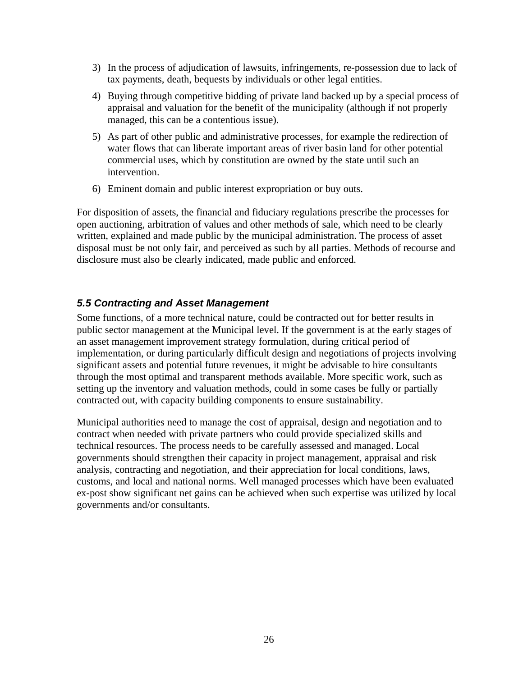- 3) In the process of adjudication of lawsuits, infringements, re-possession due to lack of tax payments, death, bequests by individuals or other legal entities.
- 4) Buying through competitive bidding of private land backed up by a special process of appraisal and valuation for the benefit of the municipality (although if not properly managed, this can be a contentious issue).
- 5) As part of other public and administrative processes, for example the redirection of water flows that can liberate important areas of river basin land for other potential commercial uses, which by constitution are owned by the state until such an intervention.
- 6) Eminent domain and public interest expropriation or buy outs.

For disposition of assets, the financial and fiduciary regulations prescribe the processes for open auctioning, arbitration of values and other methods of sale, which need to be clearly written, explained and made public by the municipal administration. The process of asset disposal must be not only fair, and perceived as such by all parties. Methods of recourse and disclosure must also be clearly indicated, made public and enforced.

#### *5.5 Contracting and Asset Management*

Some functions, of a more technical nature, could be contracted out for better results in public sector management at the Municipal level. If the government is at the early stages of an asset management improvement strategy formulation, during critical period of implementation, or during particularly difficult design and negotiations of projects involving significant assets and potential future revenues, it might be advisable to hire consultants through the most optimal and transparent methods available. More specific work, such as setting up the inventory and valuation methods, could in some cases be fully or partially contracted out, with capacity building components to ensure sustainability.

Municipal authorities need to manage the cost of appraisal, design and negotiation and to contract when needed with private partners who could provide specialized skills and technical resources. The process needs to be carefully assessed and managed. Local governments should strengthen their capacity in project management, appraisal and risk analysis, contracting and negotiation, and their appreciation for local conditions, laws, customs, and local and national norms. Well managed processes which have been evaluated ex-post show significant net gains can be achieved when such expertise was utilized by local governments and/or consultants.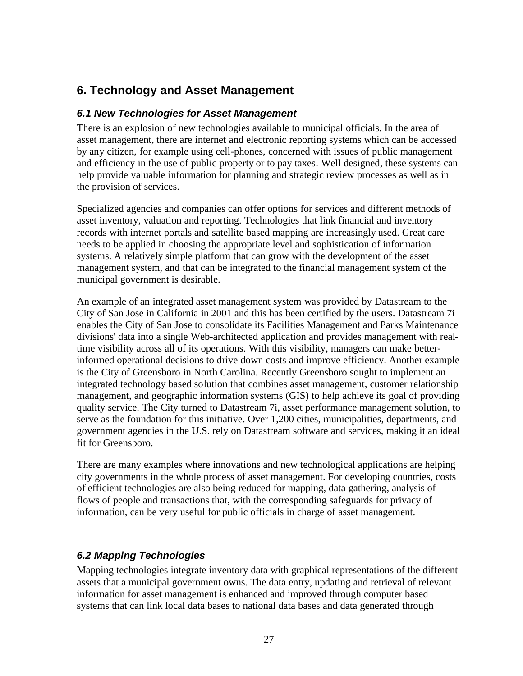# **6. Technology and Asset Management**

#### *6.1 New Technologies for Asset Management*

There is an explosion of new technologies available to municipal officials. In the area of asset management, there are internet and electronic reporting systems which can be accessed by any citizen, for example using cell-phones, concerned with issues of public management and efficiency in the use of public property or to pay taxes. Well designed, these systems can help provide valuable information for planning and strategic review processes as well as in the provision of services.

Specialized agencies and companies can offer options for services and different methods of asset inventory, valuation and reporting. Technologies that link financial and inventory records with internet portals and satellite based mapping are increasingly used. Great care needs to be applied in choosing the appropriate level and sophistication of information systems. A relatively simple platform that can grow with the development of the asset management system, and that can be integrated to the financial management system of the municipal government is desirable.

An example of an integrated asset management system was provided by Datastream to the City of San Jose in California in 2001 and this has been certified by the users. Datastream 7i enables the City of San Jose to consolidate its Facilities Management and Parks Maintenance divisions' data into a single Web-architected application and provides management with realtime visibility across all of its operations. With this visibility, managers can make betterinformed operational decisions to drive down costs and improve efficiency. Another example is the City of Greensboro in North Carolina. Recently Greensboro sought to implement an integrated technology based solution that combines asset management, customer relationship management, and geographic information systems (GIS) to help achieve its goal of providing quality service. The City turned to Datastream 7i, asset performance management solution, to serve as the foundation for this initiative. Over 1,200 cities, municipalities, departments, and government agencies in the U.S. rely on Datastream software and services, making it an ideal fit for Greensboro.

There are many examples where innovations and new technological applications are helping city governments in the whole process of asset management. For developing countries, costs of efficient technologies are also being reduced for mapping, data gathering, analysis of flows of people and transactions that, with the corresponding safeguards for privacy of information, can be very useful for public officials in charge of asset management.

## *6.2 Mapping Technologies*

Mapping technologies integrate inventory data with graphical representations of the different assets that a municipal government owns. The data entry, updating and retrieval of relevant information for asset management is enhanced and improved through computer based systems that can link local data bases to national data bases and data generated through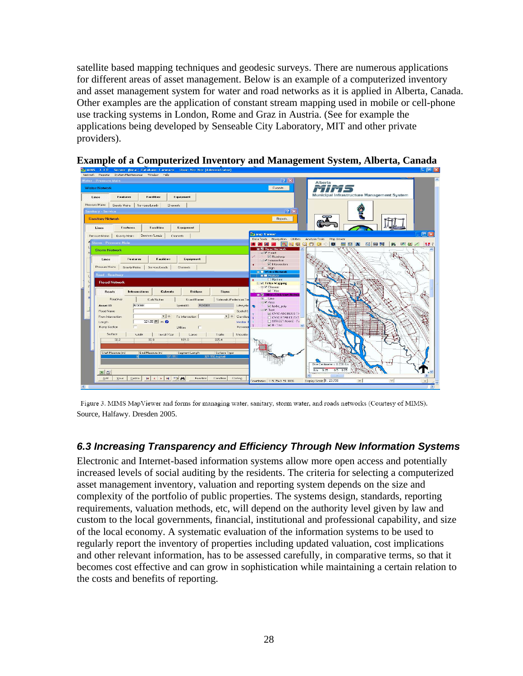satellite based mapping techniques and geodesic surveys. There are numerous applications for different areas of asset management. Below is an example of a computerized inventory and asset management system for water and road networks as it is applied in Alberta, Canada. Other examples are the application of constant stream mapping used in mobile or cell-phone use tracking systems in London, Rome and Graz in Austria. (See for example the applications being developed by Senseable City Laboratory, MIT and other private providers).



#### **Example of a Computerized Inventory and Management System, Alberta, Canada**

Figure 3. MIMS MapViewer and forms for managing water, sanitary, storm water, and roads networks (Courtesy of MIMS). Source, Halfawy. Dresden 2005.

#### *6.3 Increasing Transparency and Efficiency Through New Information Systems*

Electronic and Internet-based information systems allow more open access and potentially increased levels of social auditing by the residents. The criteria for selecting a computerized asset management inventory, valuation and reporting system depends on the size and complexity of the portfolio of public properties. The systems design, standards, reporting requirements, valuation methods, etc, will depend on the authority level given by law and custom to the local governments, financial, institutional and professional capability, and size of the local economy. A systematic evaluation of the information systems to be used to regularly report the inventory of properties including updated valuation, cost implications and other relevant information, has to be assessed carefully, in comparative terms, so that it becomes cost effective and can grow in sophistication while maintaining a certain relation to the costs and benefits of reporting.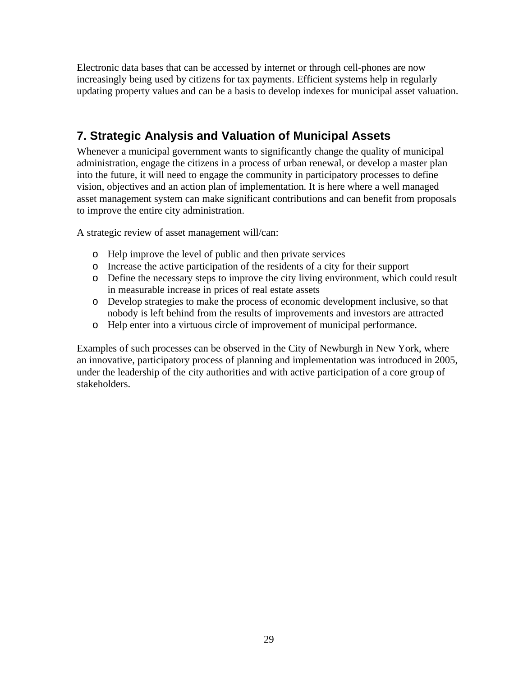Electronic data bases that can be accessed by internet or through cell-phones are now increasingly being used by citizens for tax payments. Efficient systems help in regularly updating property values and can be a basis to develop indexes for municipal asset valuation.

# **7. Strategic Analysis and Valuation of Municipal Assets**

Whenever a municipal government wants to significantly change the quality of municipal administration, engage the citizens in a process of urban renewal, or develop a master plan into the future, it will need to engage the community in participatory processes to define vision, objectives and an action plan of implementation. It is here where a well managed asset management system can make significant contributions and can benefit from proposals to improve the entire city administration.

A strategic review of asset management will/can:

- o Help improve the level of public and then private services
- o Increase the active participation of the residents of a city for their support
- o Define the necessary steps to improve the city living environment, which could result in measurable increase in prices of real estate assets
- o Develop strategies to make the process of economic development inclusive, so that nobody is left behind from the results of improvements and investors are attracted
- o Help enter into a virtuous circle of improvement of municipal performance.

Examples of such processes can be observed in the City of Newburgh in New York, where an innovative, participatory process of planning and implementation was introduced in 2005, under the leadership of the city authorities and with active participation of a core group of stakeholders.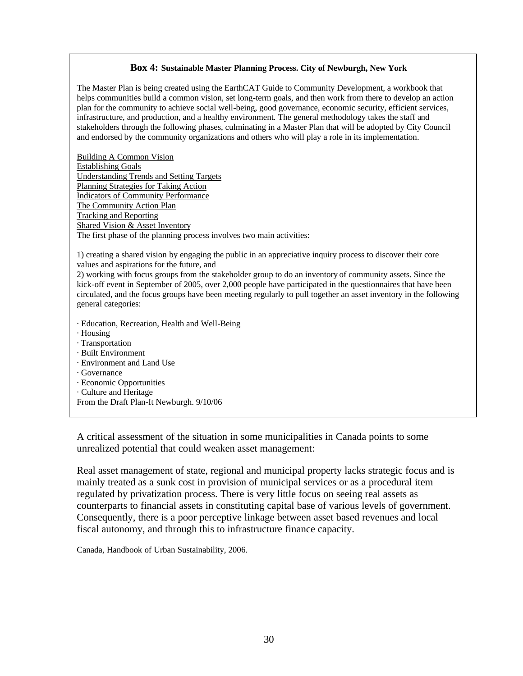#### **Box 4: Sustainable Master Planning Process. City of Newburgh, New York**

The Master Plan is being created using the EarthCAT Guide to Community Development, a workbook that helps communities build a common vision, set long-term goals, and then work from there to develop an action plan for the community to achieve social well-being, good governance, economic security, efficient services, infrastructure, and production, and a healthy environment. The general methodology takes the staff and stakeholders through the following phases, culminating in a Master Plan that will be adopted by City Council and endorsed by the community organizations and others who will play a role in its implementation.

Building A Common Vision Establishing Goals Understanding Trends and Setting Targets Planning Strategies for Taking Action Indicators of Community Performance The Community Action Plan Tracking and Reporting Shared Vision & Asset Inventory The first phase of the planning process involves two main activities:

1) creating a shared vision by engaging the public in an appreciative inquiry process to discover their core values and aspirations for the future, and

2) working with focus groups from the stakeholder group to do an inventory of community assets. Since the kick-off event in September of 2005, over 2,000 people have participated in the questionnaires that have been circulated, and the focus groups have been meeting regularly to pull together an asset inventory in the following general categories:

- · Education, Recreation, Health and Well-Being
- · Housing
- · Transportation
- · Built Environment
- · Environment and Land Use
- · Governance
- · Economic Opportunities
- · Culture and Heritage
- From the Draft Plan-It Newburgh. 9/10/06

A critical assessment of the situation in some municipalities in Canada points to some unrealized potential that could weaken asset management:

Real asset management of state, regional and municipal property lacks strategic focus and is mainly treated as a sunk cost in provision of municipal services or as a procedural item regulated by privatization process. There is very little focus on seeing real assets as counterparts to financial assets in constituting capital base of various levels of government. Consequently, there is a poor perceptive linkage between asset based revenues and local fiscal autonomy, and through this to infrastructure finance capacity.

Canada, Handbook of Urban Sustainability, 2006.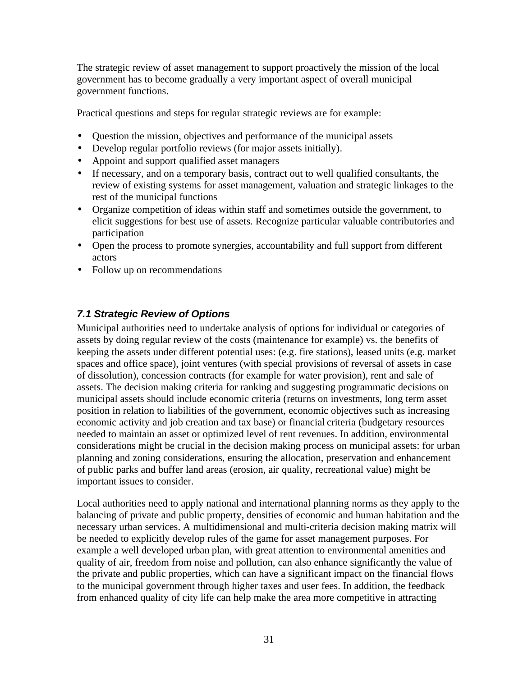The strategic review of asset management to support proactively the mission of the local government has to become gradually a very important aspect of overall municipal government functions.

Practical questions and steps for regular strategic reviews are for example:

- Question the mission, objectives and performance of the municipal assets
- Develop regular portfolio reviews (for major assets initially).
- Appoint and support qualified asset managers
- If necessary, and on a temporary basis, contract out to well qualified consultants, the review of existing systems for asset management, valuation and strategic linkages to the rest of the municipal functions
- Organize competition of ideas within staff and sometimes outside the government, to elicit suggestions for best use of assets. Recognize particular valuable contributories and participation
- Open the process to promote synergies, accountability and full support from different actors
- Follow up on recommendations

#### *7.1 Strategic Review of Options*

Municipal authorities need to undertake analysis of options for individual or categories of assets by doing regular review of the costs (maintenance for example) vs. the benefits of keeping the assets under different potential uses: (e.g. fire stations), leased units (e.g. market spaces and office space), joint ventures (with special provisions of reversal of assets in case of dissolution), concession contracts (for example for water provision), rent and sale of assets. The decision making criteria for ranking and suggesting programmatic decisions on municipal assets should include economic criteria (returns on investments, long term asset position in relation to liabilities of the government, economic objectives such as increasing economic activity and job creation and tax base) or financial criteria (budgetary resources needed to maintain an asset or optimized level of rent revenues. In addition, environmental considerations might be crucial in the decision making process on municipal assets: for urban planning and zoning considerations, ensuring the allocation, preservation and enhancement of public parks and buffer land areas (erosion, air quality, recreational value) might be important issues to consider.

Local authorities need to apply national and international planning norms as they apply to the balancing of private and public property, densities of economic and human habitation and the necessary urban services. A multidimensional and multi-criteria decision making matrix will be needed to explicitly develop rules of the game for asset management purposes. For example a well developed urban plan, with great attention to environmental amenities and quality of air, freedom from noise and pollution, can also enhance significantly the value of the private and public properties, which can have a significant impact on the financial flows to the municipal government through higher taxes and user fees. In addition, the feedback from enhanced quality of city life can help make the area more competitive in attracting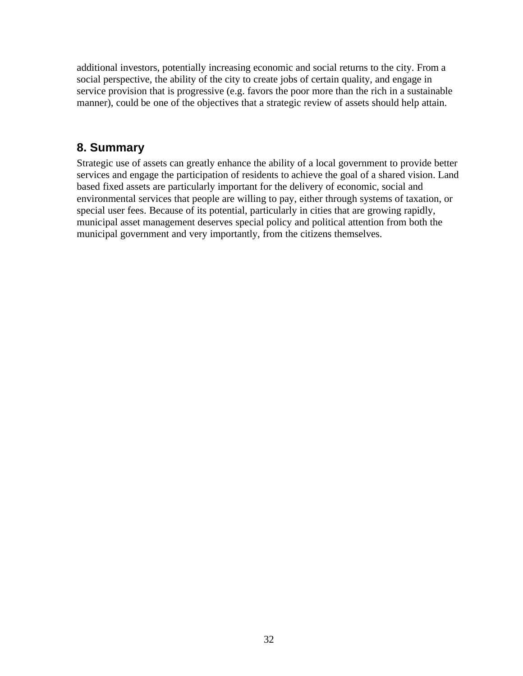additional investors, potentially increasing economic and social returns to the city. From a social perspective, the ability of the city to create jobs of certain quality, and engage in service provision that is progressive (e.g. favors the poor more than the rich in a sustainable manner), could be one of the objectives that a strategic review of assets should help attain.

# **8. Summary**

Strategic use of assets can greatly enhance the ability of a local government to provide better services and engage the participation of residents to achieve the goal of a shared vision. Land based fixed assets are particularly important for the delivery of economic, social and environmental services that people are willing to pay, either through systems of taxation, or special user fees. Because of its potential, particularly in cities that are growing rapidly, municipal asset management deserves special policy and political attention from both the municipal government and very importantly, from the citizens themselves.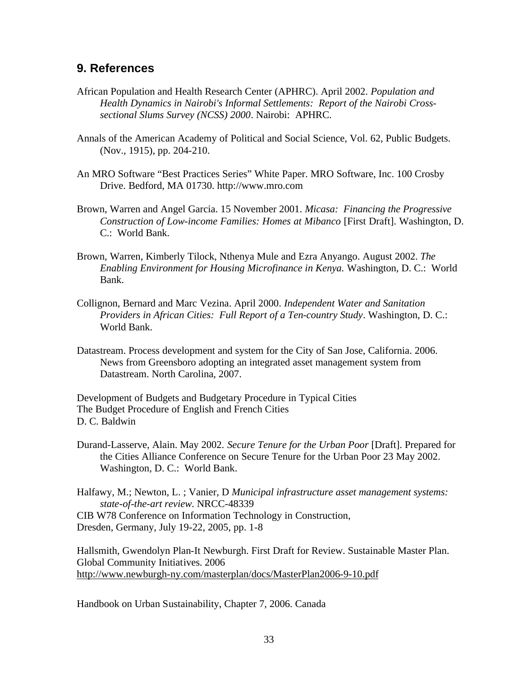## **9. References**

- African Population and Health Research Center (APHRC). April 2002. *Population and Health Dynamics in Nairobi's Informal Settlements: Report of the Nairobi Crosssectional Slums Survey (NCSS) 2000*. Nairobi: APHRC.
- Annals of the American Academy of Political and Social Science, Vol. 62, Public Budgets. (Nov., 1915), pp. 204-210.
- An MRO Software "Best Practices Series" White Paper. MRO Software, Inc. 100 Crosby Drive. Bedford, MA 01730. http://www.mro.com
- Brown, Warren and Angel Garcia. 15 November 2001. *Micasa: Financing the Progressive Construction of Low-income Families: Homes at Mibanco* [First Draft]. Washington, D. C.: World Bank.
- Brown, Warren, Kimberly Tilock, Nthenya Mule and Ezra Anyango. August 2002. *The Enabling Environment for Housing Microfinance in Kenya.* Washington, D. C.: World Bank.
- Collignon, Bernard and Marc Vezina. April 2000. *Independent Water and Sanitation Providers in African Cities: Full Report of a Ten-country Study*. Washington, D. C.: World Bank.
- Datastream. Process development and system for the City of San Jose, California. 2006. News from Greensboro adopting an integrated asset management system from Datastream. North Carolina, 2007.

Development of Budgets and Budgetary Procedure in Typical Cities The Budget Procedure of English and French Cities D. C. Baldwin

Durand-Lasserve, Alain. May 2002. *Secure Tenure for the Urban Poor* [Draft]. Prepared for the Cities Alliance Conference on Secure Tenure for the Urban Poor 23 May 2002. Washington, D. C.: World Bank.

Halfawy, M.; Newton, L. ; Vanier, D *Municipal infrastructure asset management systems: state-of-the-art review*. NRCC-48339 CIB W78 Conference on Information Technology in Construction, Dresden, Germany, July 19-22, 2005, pp. 1-8

Hallsmith, Gwendolyn Plan-It Newburgh. First Draft for Review. Sustainable Master Plan. Global Community Initiatives. 2006 http://www.newburgh-ny.com/masterplan/docs/MasterPlan2006-9-10.pdf

Handbook on Urban Sustainability, Chapter 7, 2006. Canada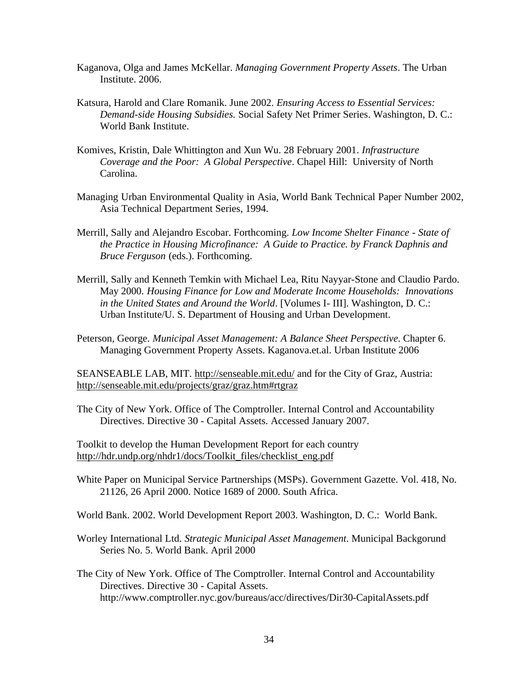- Kaganova, Olga and James McKellar. *Managing Government Property Assets*. The Urban Institute. 2006.
- Katsura, Harold and Clare Romanik. June 2002. *Ensuring Access to Essential Services: Demand-side Housing Subsidies.* Social Safety Net Primer Series. Washington, D. C.: World Bank Institute.
- Komives, Kristin, Dale Whittington and Xun Wu. 28 February 2001. *Infrastructure Coverage and the Poor: A Global Perspective*. Chapel Hill: University of North Carolina.
- Managing Urban Environmental Quality in Asia, World Bank Technical Paper Number 2002, Asia Technical Department Series, 1994.
- Merrill, Sally and Alejandro Escobar. Forthcoming. *Low Income Shelter Finance State of the Practice in Housing Microfinance: A Guide to Practice. by Franck Daphnis and Bruce Ferguson* (eds.). Forthcoming.
- Merrill, Sally and Kenneth Temkin with Michael Lea, Ritu Nayyar-Stone and Claudio Pardo. May 2000. *Housing Finance for Low and Moderate Income Households: Innovations in the United States and Around the World*. [Volumes I- III]. Washington, D. C.: Urban Institute/U. S. Department of Housing and Urban Development.
- Peterson, George. *Municipal Asset Management: A Balance Sheet Perspective*. Chapter 6. Managing Government Property Assets. Kaganova.et.al. Urban Institute 2006

SEANSEABLE LAB, MIT. http://senseable.mit.edu/ and for the City of Graz, Austria: http://senseable.mit.edu/projects/graz/graz.htm#rtgraz

The City of New York. Office of The Comptroller. Internal Control and Accountability Directives. Directive 30 - Capital Assets. Accessed January 2007.

Toolkit to develop the Human Development Report for each country http://hdr.undp.org/nhdr1/docs/Toolkit\_files/checklist\_eng.pdf

White Paper on Municipal Service Partnerships (MSPs). Government Gazette. Vol. 418, No. 21126, 26 April 2000. Notice 1689 of 2000. South Africa.

World Bank. 2002. World Development Report 2003. Washington, D. C.: World Bank.

- Worley International Ltd. *Strategic Municipal Asset Management*. Municipal Backgorund Series No. 5. World Bank. April 2000
- The City of New York. Office of The Comptroller. Internal Control and Accountability Directives. Directive 30 - Capital Assets. http://www.comptroller.nyc.gov/bureaus/acc/directives/Dir30-CapitalAssets.pdf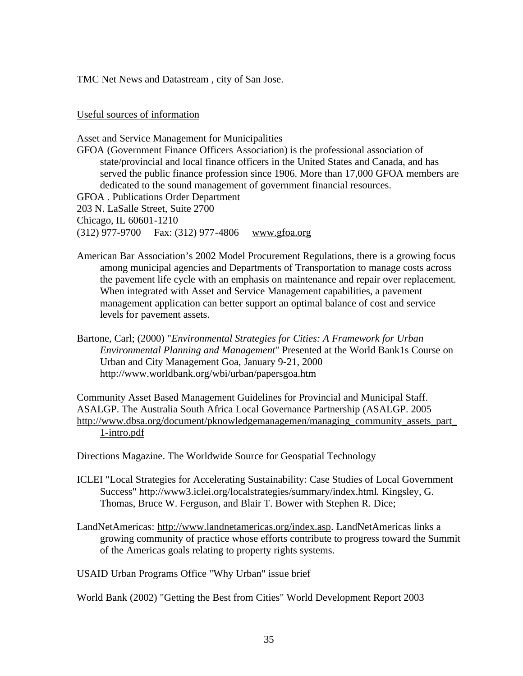TMC Net News and Datastream , city of San Jose.

#### Useful sources of information

Asset and Service Management for Municipalities GFOA (Government Finance Officers Association) is the professional association of state/provincial and local finance officers in the United States and Canada, and has served the public finance profession since 1906. More than 17,000 GFOA members are dedicated to the sound management of government financial resources. GFOA . Publications Order Department 203 N. LaSalle Street, Suite 2700 Chicago, IL 60601-1210 (312) 977-9700 Fax: (312) 977-4806 www.gfoa.org

- American Bar Association's 2002 Model Procurement Regulations, there is a growing focus among municipal agencies and Departments of Transportation to manage costs across the pavement life cycle with an emphasis on maintenance and repair over replacement. When integrated with Asset and Service Management capabilities, a pavement management application can better support an optimal balance of cost and service levels for pavement assets.
- Bartone, Carl; (2000) "*Environmental Strategies for Cities: A Framework for Urban Environmental Planning and Management*" Presented at the World Bank1s Course on Urban and City Management Goa, January 9-21, 2000 http://www.worldbank.org/wbi/urban/papersgoa.htm

Community Asset Based Management Guidelines for Provincial and Municipal Staff. ASALGP. The Australia South Africa Local Governance Partnership (ASALGP. 2005 http://www.dbsa.org/document/pknowledgemanagemen/managing\_community\_assets\_part\_ 1-intro.pdf

Directions Magazine. The Worldwide Source for Geospatial Technology

- ICLEI "Local Strategies for Accelerating Sustainability: Case Studies of Local Government Success" http://www3.iclei.org/localstrategies/summary/index.html. Kingsley, G. Thomas, Bruce W. Ferguson, and Blair T. Bower with Stephen R. Dice;
- LandNetAmericas: http://www.landnetamericas.org/index.asp. LandNetAmericas links a growing community of practice whose efforts contribute to progress toward the Summit of the Americas goals relating to property rights systems.

USAID Urban Programs Office "Why Urban" issue brief

World Bank (2002) "Getting the Best from Cities" World Development Report 2003